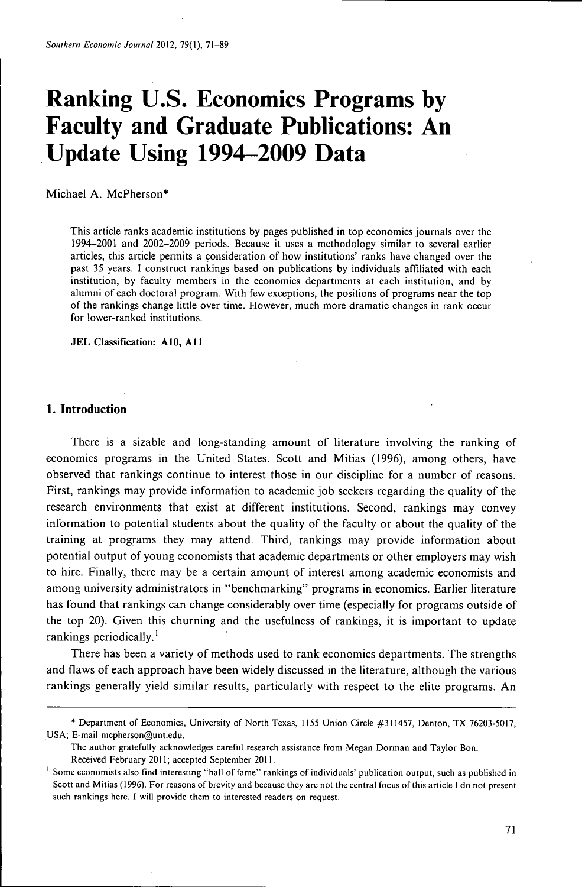# **Ranking U.S. Economics Programs by Faculty and Graduate Publications: An Update Using 1994-2009 Data**

Michael A. McPherson\*

This article ranks academic institutions by pages published in top economics journals over the 1994-2001 and 2002-2009 periods. Because it uses a methodology similar to several earlier articles, this article permits a consideration of how institutions' ranks have changed over the past 35 years. I construct rankings based on publications by individuals affiliated with each institution, by faculty members in the economics departments at each institution, and by alumni of each doctoral program. With few exceptions, the positions of programs near the top of the rankings change little over time. However, much more dramatic changes in rank occur for lower-ranked institutions.

**JEL Classification: AlO, All**

## **1. Introduction**

There is a sizable and long-standing amount of literature involving the ranking of economics programs in the United States. Scott and Mitias (1996), among others, have observed that rankings continue to interest those in our discipline for a number of reasons. First, rankings may provide information to academic job seekers regarding the quality of the research environments that exist at different institutions. Second, rankings may convey information to potential students about the quality of the faculty or about the quality of the training at programs they may attend. Third, rankings may provide information about potential output of young economists that academic departments or other employers may wish to hire. Finally, there may be a certain amount of interest among academic economists and among university administrators in "benchmarking" programs in economics. Earlier literature has found that rankings can change considerably over time (especially for programs outside of the top 20). Given this churning and the usefulness of rankings, it is important to update rankings periodically.'

There has been a variety of methods used to rank economics departments. The strengths and flaws of each approach have been widely discussed in the literature, although the various rankings generally yield similar results, particularly with respect to the elite programs. An

<sup>\*</sup> Department of Economics, University of North Texas, 1155 Union Circle #311457, Denton, TX 76203-5017, USA; E-mail mcpherson@unt.edu.

The author gratefully acknowledges careful research assistance from Megan Dormán and Taylor Bon. Received February 2011; accepted September 2011.

<sup>&</sup>lt;sup>1</sup> Some economists also find interesting "hall of fame" rankings of individuals' publication output, such as published in Scott and Mitias (1996). For reasons of brevity and because they are not the central focus of this article I do not present such rankings here. I will provide them to interested readers on request.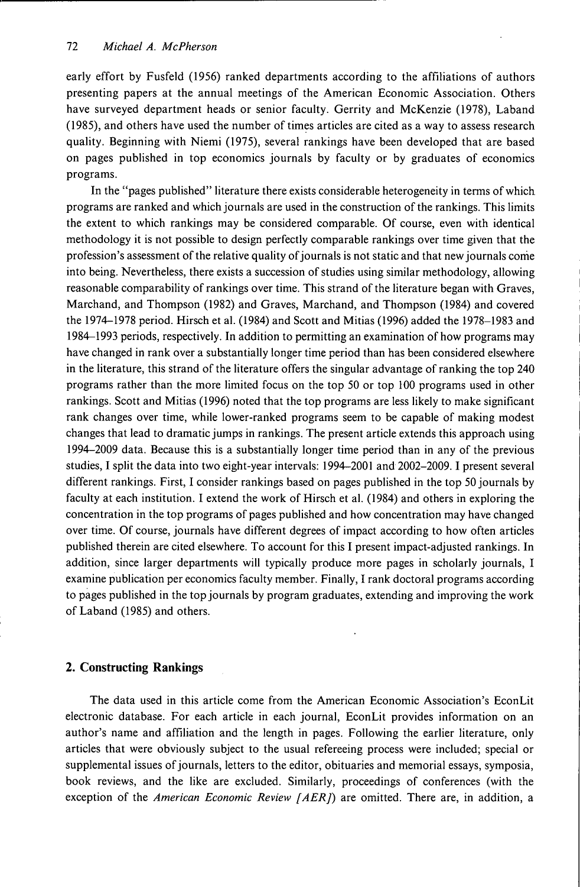early effort by Fusfeld (1956) ranked departments according to the affiliations of authors presenting papers at the annual meetings of the American Economic Association. Others have surveyed department heads or senior faculty. Gerrity and McKenzie (1978), Laband (1985), and others have used the number of times articles are cited as a way to assess research quality. Beginning with Niemi (1975), several rankings have been developed that are based on pages published in top economics journals by faculty or by graduates of economics programs.

In the "pages published" literature there exists considerable heterogeneity in terms of which programs are ranked and which journals are used in the construction of the rankings. This limits the extent to which rankings may be considered comparable. Of course, even with identical methodology it is not possible to design perfectly comparable rankings over time given that the profession's assessment of the relative quality of journals is not static and that new journals come into being. Nevertheless, there exists a succession of studies using similar methodology, allowing reasonable comparability of rankings over time. This strand of the literature began with Graves, Marchand, and Thompson (1982) and Graves, Marchand, and Thompson (1984) and covered the 1974-1978 period. Hirsch et al. (1984) and Scott and Mitias (1996) added the 1978-1983 and 1984-1993 periods, respectively. In addition to permitting an examination of how programs may have changed in rank over a substantially longer time period than has been considered elsewhere in the literature, this strand of the literature offers the singular advantage of ranking the top 240 programs rather than the more limited focus on the top 50 or top 100 programs used in other rankings. Scott and Mitias (1996) noted that the top programs are less likely to make significant rank changes over time, while lower-ranked programs seem to be capable of making modest changes that lead to dramatic jumps in rankings. The present article extends this approach using 1994—2009 data. Because this is a substantially longer time period than in any of the previous studies, I split the data into two eight-year intervals: 1994-2001 and 2002-2009.1 present several different rankings. First, I consider rankings based on pages published in the top 50 journals by faculty at each institution. I extend the work of Hirsch et al. (1984) and others in exploring the concentration in the top programs of pages published and how concentration may have changed over time. Of course, journals have different degrees of impact according to how often articles published therein are cited elsewhere. To account for this I present impact-adjusted rankings. In addition, since larger departments will typically produce more pages in scholarly journals, I examine publication per economics faculty member. Finally, I rank doctoral programs according to pages published in the top journals by program graduates, extending and improving the work of Laband (1985) and others.

## **2. Constructing Rankings**

The data used in this article come from the American Economic Association's EconLit electronic database. For each article in each journal, EconLit provides information on an author's name and affiliation and the length in pages. Following the earlier literature, only articles that were obviously subject to the usual refereeing process were included; special or supplemental issues of journals, letters to the editor, obituaries and memorial essays, symposia, book reviews, and the like are excluded. Similarly, proceedings of conferences (with the exception of the *American Economic Review [AER])* are omitted. There are, in addition, a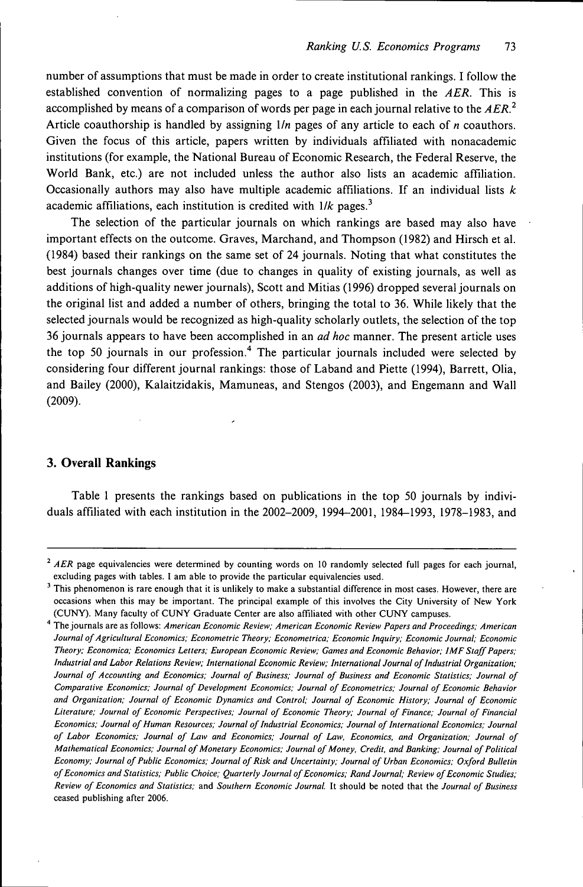number of assumptions that must be made in order to create institutional rankings. I follow the established convention of normalizing pages to a page published in the *AER.* This is accomplished by means of a comparison of words per page in each journal relative to the *AER.^* Article coauthorship is handled by assigning *lln* pages of any article to each of *n* coauthors. Given the focus of this article, papers written by individuals affiliated with nonacademic institutions (for example, the National Bureau of Economic Research, the Federal Reserve, the World Bank, etc.) are not included unless the author also lists an academic affiliation. Occasionally authors may also have multiple academic affiliations. If an individual lists *k* academic affiliations, each institution is credited with  $1/k$  pages.<sup>3</sup>

The selection of the particular journals on which rankings are based may also have important effects on the outcome. Graves, Marchand, and Thompson (1982) and Hirsch et al. (1984) based their rankings on the same set of 24 journals. Noting that what constitutes the best journals changes over time (due to changes in quality of existing journals, as well as additions of high-quality newer journals), Scott and Mitias (1996) dropped several journals on the original list and added a number of others, bringing the total to 36. While likely that the selected journals would be recognized as high-quality scholarly outlets, the selection of the top 36 journals appears to have been accomplished in an *ad hoc* manner. The present article uses the top 50 journals in our profession.<sup>4</sup> The particular journals included were selected by considering four different journal rankings: those of Laband and Piette (1994), Barrett, Olia, and Bailey (2000), Kalaitzidakis, Mamuneas, and Stengos (2003), and Engemann and Wall (2009).

## **3. Overall Rankings**

Table 1 presents the rankings based on publications in the top 50 journals by individuals affiliated with each institution in the 2002-2009, 1994-2001, 1984-1993, 1978-1983, and

<sup>&</sup>lt;sup>2</sup> AER page equivalencies were determined by counting words on 10 randomly selected full pages for each journal, excluding pages with tables. I am able to provide the particular equivalencies used.

 $3$  This phenomenon is rare enough that it is unlikely to make a substantial difference in most cases. However, there are occasions when this may be important. The principal example of this involves the City University of New York (CUNY). Many faculty of CUNY Graduate Center are also affiliated with other CUNY campuses.

<sup>•\*</sup> The journals are as follows: *American Economic Review; American Economic Review Papers and Proceedings; American Journal of Agricultural Economics; Econometric Theory; Econometriea; Economic Inquiry; Economic Journal; Economic Theory; Económica; Economics Letters; European Economic Review; Games and Economic Behavior; IMF Staff Papers; Industrial and Labor Relations Review; International Economic Review; International Journal of Industrial Organization; Journal of Accounting and Economics; Journal of Business; Journal of Business and Economic Statistics; Journal of Comparative Economics; Journal of Development Economics; Journal of Econometrics; Journal of Economic Behavior and Organization; Journal of Economic Dynamics and Control; Journal of Economic History; Journal of Economic Literature; Journal of Economic Perspectives; Journal of Economic Theory; Journal of Finance; Journal of Financial Economics; Journal of Human Resources; Journal of Industrial Economics; Journal of International Economics; Journal of Labor Economics; Journal of Law and Economics; Journal of Law, Economics, and Organization; Journal of Mathematical Economics; Journal of Monetary Economics; Journal of Money, Credit, and Banking; Journal of Political Economy; Journal of Public Economics; Journal of Risk and Uncertainty; Journal of Urban Economics; Oxford Bulletin of Economics and Statistics; Public Choice; Quarterly Journal of Economics; Rand Journal; Review of Economic Studies; Review of Economics and Statistics;* and *Southern Economic Journal.* It should be noted that the *Journal of Business* ceased publishing after 2006.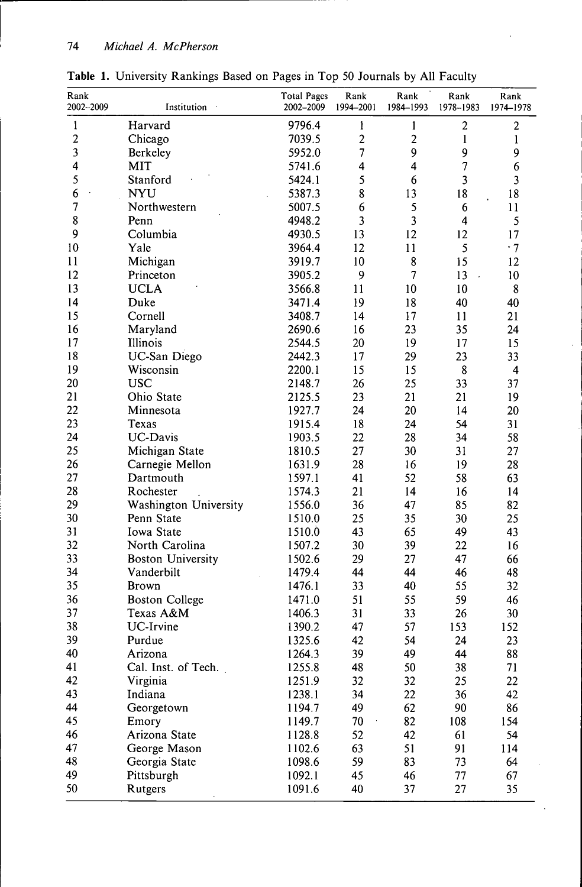| Rank<br>2002-2009 | Institution              | <b>Total Pages</b><br>2002-2009 | Rank<br>1994-2001 | Rank<br>1984-1993       | Rank<br>1978-1983 | Rank<br>1974-1978       |
|-------------------|--------------------------|---------------------------------|-------------------|-------------------------|-------------------|-------------------------|
| $\mathbf{1}$      | Harvard                  | 9796.4                          | 1                 | 1                       | $\overline{c}$    | $\overline{\mathbf{c}}$ |
| $\overline{c}$    | Chicago                  | 7039.5                          | $\overline{c}$    | $\overline{2}$          | $\mathbf{1}$      | $\mathbf{1}$            |
| 3                 | Berkeley                 | 5952.0                          | $\overline{7}$    | 9                       | 9                 | 9                       |
| 4                 | <b>MIT</b>               | 5741.6                          | 4                 | 4                       | $\overline{7}$    | 6                       |
| 5                 | Stanford                 | 5424.1                          | 5                 | 6                       | 3                 | 3                       |
| 6                 | <b>NYU</b>               | 5387.3                          | 8                 | 13                      | 18                | 18                      |
| $\overline{7}$    | Northwestern             | 5007.5                          | 6                 | 5                       | 6                 | 11                      |
| 8                 | Penn                     | 4948.2                          | 3                 | $\overline{\mathbf{3}}$ | 4                 | 5                       |
| 9                 | Columbia                 | 4930.5                          | 13                | 12                      | 12                | 17                      |
| 10                | Yale                     | 3964.4                          | 12                | 11                      | 5                 | $-7$                    |
| 11                | Michigan                 | 3919.7                          | 10                | 8                       | 15                | 12                      |
| 12                | Princeton                | 3905.2                          | 9                 | 7                       | 13                | 10                      |
| 13                | <b>UCLA</b>              | 3566.8                          | 11                | 10                      | 10                | 8                       |
| 14                | Duke                     | 3471.4                          | 19                | 18                      | 40                | 40                      |
| 15                | Cornell                  | 3408.7                          | 14                | 17                      | 11                | 21                      |
| 16                | Maryland                 | 2690.6                          | 16                | 23                      | 35                | 24                      |
| 17                | Illinois                 | 2544.5                          | 20                | 19                      | 17                | 15                      |
| 18                | UC-San Diego             | 2442.3                          | 17                | 29                      | 23                | 33                      |
| 19                | Wisconsin                | 2200.1                          | 15                | 15                      | 8                 | 4                       |
| 20                | <b>USC</b>               | 2148.7                          | 26                | 25                      | 33                | 37                      |
| 21                | Ohio State               | 2125.5                          | 23                | 21                      | 21                | 19                      |
| 22                | Minnesota                | 1927.7                          | 24                | 20                      | 14                | 20                      |
| 23                | Texas                    | 1915.4                          | 18                | 24                      | 54                | 31                      |
| 24                | <b>UC-Davis</b>          | 1903.5                          | 22                | 28                      | 34                | 58                      |
| 25                | Michigan State           | 1810.5                          | 27                | 30                      | 31                | 27                      |
| 26                | Carnegie Mellon          | 1631.9                          | 28                | 16                      | 19                | 28                      |
| 27                | Dartmouth                | 1597.1                          | 41                | 52                      | 58                | 63                      |
| 28                | Rochester                | 1574.3                          | 21                | 14                      | 16                | 14                      |
| 29                | Washington University    | 1556.0                          | 36                | 47                      | 85                | 82                      |
| 30                | Penn State               | 1510.0                          | 25                | 35                      | 30                | 25                      |
| 31                | Iowa State               | 1510.0                          | 43                | 65                      | 49                | 43                      |
| 32                | North Carolina           | 1507.2                          | 30                | 39                      | 22                | 16                      |
| 33                | <b>Boston University</b> | 1502.6                          | 29                | 27                      | 47                | 66                      |
| 34                | Vanderbilt               | 1479.4                          | 44                | 44                      | 46                | 48                      |
| 35                | <b>Brown</b>             | 1476.1                          | 33                | 40                      | 55                | 32                      |
| 36                | <b>Boston College</b>    | 1471.0                          | 51                | 55                      | 59                | 46                      |
| 37                | Texas A&M                | 1406.3                          | 31                | 33                      | 26                | 30                      |
| 38                | UC-Irvine                | 1390.2                          | 47                | 57                      | 153               | 152                     |
| 39                | Purdue                   | 1325.6                          | 42                | 54                      | 24                | 23                      |
| 40                | Arizona                  | 1264.3                          | 39                | 49                      | 44                | 88                      |
| 41                | Cal. Inst. of Tech.      | 1255.8                          | 48                | 50                      | 38                | 71                      |
| 42                | Virginia                 | 1251.9                          | 32                | 32                      | 25                | 22                      |
| 43                | Indiana                  | 1238.1                          | 34                | 22                      | 36                | 42                      |
| 44                | Georgetown               | 1194.7                          | 49                | 62                      | 90                | 86                      |
| 45                | Emory                    | 1149.7                          | 70                | 82                      | 108               | 154                     |
| 46                | Arizona State            | 1128.8                          | 52                | 42                      | 61                | 54                      |
| 47                | George Mason             | 1102.6                          | 63                | 51                      | 91                | 114                     |
| 48                | Georgia State            | 1098.6                          | 59                | 83                      | 73                | 64                      |
| 49                | Pittsburgh               | 1092.1                          | 45                | 46                      | 77                | 67                      |
| 50                | Rutgers                  | 1091.6                          | 40                | 37                      | 27                | 35                      |

**Table 1.** University Rankings Based on Pages in Top 50 Journals by All Faculty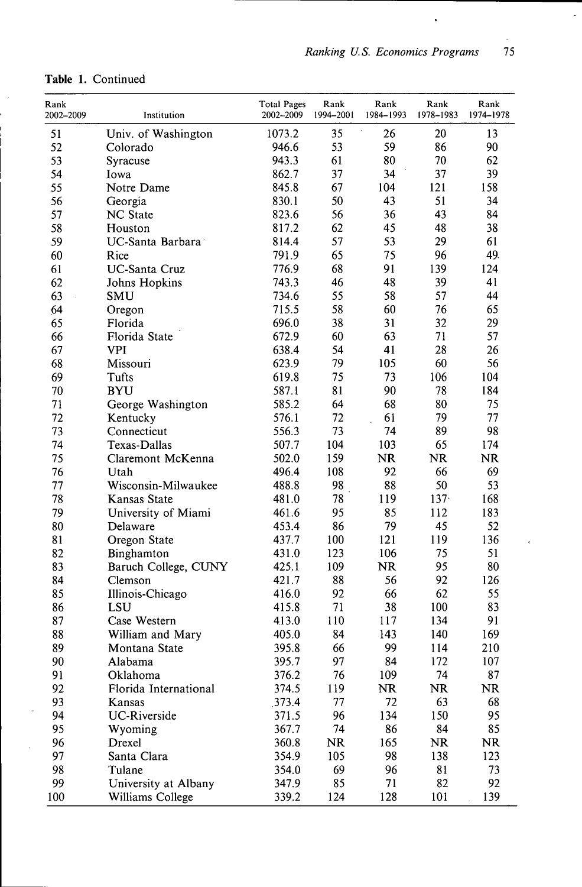$\ddot{\phantom{0}}$ 

 $\overline{\phantom{a}}$ 

 $\ddot{\text{c}}$ 

| Rank      |                                          | <b>Total Pages</b> | Rank      | Rank      | Rank      | Rank      |
|-----------|------------------------------------------|--------------------|-----------|-----------|-----------|-----------|
| 2002-2009 | Institution                              | 2002-2009          | 1994-2001 | 1984-1993 | 1978-1983 | 1974-1978 |
| 51        | Univ. of Washington                      | 1073.2             | 35        | 26        | 20        | 13        |
| 52        | Colorado                                 | 946.6              | 53        | 59        | 86        | 90        |
| 53        | Syracuse                                 | 943.3              | 61        | 80        | 70        | 62        |
| 54        | Iowa                                     | 862.7              | 37        | 34        | 37        | 39        |
| 55        | Notre Dame                               | 845.8              | 67        | 104       | 121       | 158       |
| 56        | Georgia                                  | 830.1              | 50        | 43        | 51        | 34        |
| 57        | <b>NC</b> State                          | 823.6              | 56        | 36        | 43        | 84        |
| 58        | Houston                                  | 817.2              | 62        | 45        | 48        | 38        |
| 59        | UC-Santa Barbara                         | 814.4              | 57        | 53        | 29        | 61        |
| 60        | Rice                                     | 791.9              | 65        | 75        | 96        | 49.       |
| 61        | <b>UC-Santa Cruz</b>                     | 776.9              | 68        | 91        | 139       | 124       |
| 62        | Johns Hopkins                            | 743.3              | 46        | 48        | 39        | 41        |
| 63        | SMU                                      | 734.6              | 55        | 58        | 57        | 44        |
| 64        | Oregon                                   | 715.5              | 58        | 60        | 76        | 65        |
| 65        | Florida                                  | 696.0              | 38        | 31        | 32        | 29        |
| 66        | Florida State                            | 672.9              | 60        | 63        | 71        | 57        |
| 67        | <b>VPI</b>                               | 638.4              | 54        | 41        | 28        | 26        |
| 68        | Missouri                                 | 623.9              | 79        | 105       | 60        | 56        |
| 69        | Tufts                                    | 619.8              | 75        | 73        | 106       | 104       |
| 70        | <b>BYU</b>                               | 587.1              | 81        | 90        | 78        | 184       |
| 71        | George Washington                        | 585.2              | 64        | 68        | 80        | 75        |
| 72        | Kentucky                                 | 576.1              | 72        | 61        | 79        | 77        |
| 73        | Connecticut                              | 556.3              | 73        | 74        | 89        | 98        |
| 74        | Texas-Dallas                             | 507.7              | 104       | 103       | 65        | 174       |
| 75        | Claremont McKenna                        | 502.0              | 159       | NR        | <b>NR</b> | <b>NR</b> |
| 76        | Utah                                     | 496.4              | 108       | 92        | 66        | 69        |
| 77        | Wisconsin-Milwaukee                      | 488.8              | 98        | 88        | 50        | 53        |
| 78        | Kansas State                             | 481.0              | 78        | 119       | $137 -$   | 168       |
| 79        | University of Miami                      | 461.6              | 95        | 85        | 112       | 183       |
| 80        | Delaware                                 | 453.4              | 86        | 79        | 45        | 52        |
| 81        | Oregon State                             | 437.7              | 100       | 121       | 119       | 136       |
| 82        | Binghamton                               | 431.0              | 123       | 106       | 75        | 51        |
| 83        | Baruch College, CUNY                     | 425.1              | 109       | <b>NR</b> | 95        | 80        |
| 84        | Clemson                                  | 421.7              | 88        | 56        | 92        | 126       |
| 85        | Illinois-Chicago                         | 416.0              | 92        | 66        | 62        | 55        |
| 86        | LSU                                      | 415.8              | 71        | 38        | 100       | 83        |
| 87        | Case Western                             | 413.0              | 110       | 117       | 134       | 91        |
| 88        | William and Mary                         | 405.0              | 84        | 143       | 140       | 169       |
| 89        | Montana State                            | 395.8              | 66        | 99        | 114       | 210       |
| 90        | Alabama                                  | 395.7              | 97        | 84        | 172       | 107       |
| 91        | Oklahoma                                 | 376.2              | 76        | 109       | 74        | 87        |
| 92        | Florida International                    | 374.5              | 119       | <b>NR</b> | <b>NR</b> | <b>NR</b> |
| 93        | Kansas                                   | 373.4              | 77        | 72        | 63        | 68        |
| 94        | <b>UC-Riverside</b>                      | 371.5              | 96        | 134       | 150       | 95        |
| 95        | Wyoming                                  | 367.7              | 74        | 86        | 84        | 85        |
| 96        | Drexel                                   | 360.8              | <b>NR</b> | 165       | <b>NR</b> | <b>NR</b> |
| 97        | Santa Clara                              | 354.9              | 105       | 98        | 138       | 123       |
| 98        | Tulane                                   | 354.0              | 69        | 96        | 81        | 73        |
| 99<br>100 | University at Albany<br>Williams College | 347.9<br>339.2     | 85<br>124 | 71<br>128 | 82<br>101 | 92<br>139 |

# **Table 1.** Continued

 $\bar{\phantom{a}}$ 

 $\mathcal{A}^{\mathcal{A}}$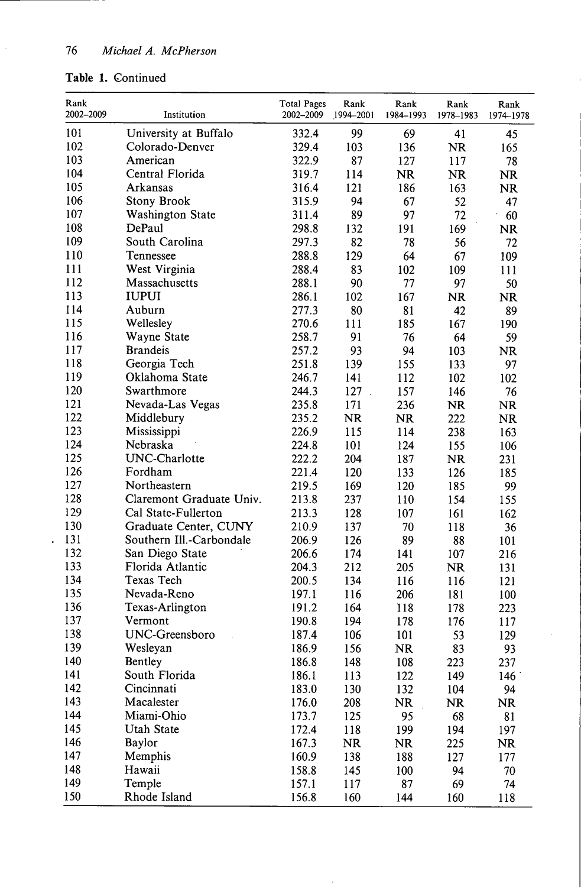# **Table 1.** Continued

 $\ddot{\phantom{0}}$ 

| Rank<br>2002-2009 | Institution              | <b>Total Pages</b><br>2002-2009 | Rank<br>1994-2001 | Rank<br>1984-1993 | Rank<br>1978-1983 | Rank<br>1974-1978 |
|-------------------|--------------------------|---------------------------------|-------------------|-------------------|-------------------|-------------------|
| 101               | University at Buffalo    | 332.4                           | 99                | 69                | 41                | 45                |
| 102               | Colorado-Denver          | 329.4                           | 103               | 136               | <b>NR</b>         | 165               |
| 103               | American                 | 322.9                           | 87                | 127               | 117               | 78                |
| 104               | Central Florida          | 319.7                           | 114               | <b>NR</b>         | NR.               | <b>NR</b>         |
| 105               | Arkansas                 | 316.4                           | 121               | 186               | 163               | <b>NR</b>         |
| 106               | Stony Brook              | 315.9                           | 94                | 67                | 52                | 47                |
| 107               | <b>Washington State</b>  | 311.4                           | 89                | 97                | 72                | 60                |
| 108               | DePaul                   | 298.8                           | 132               | 191               | 169               | <b>NR</b>         |
| 109               | South Carolina           | 297.3                           | 82                | 78                | 56                | 72                |
| 110               | Tennessee                | 288.8                           | 129               | 64                | 67                | 109               |
| 111               | West Virginia            | 288.4                           | 83                | 102               | 109               | 111               |
| 112               | Massachusetts            | 288.1                           | 90                | 77                | 97                | 50                |
| 113               | <b>IUPUI</b>             | 286.1                           | 102               | 167               | <b>NR</b>         | <b>NR</b>         |
| 114               | Auburn                   | 277.3                           | 80                | 81                | 42                | 89                |
| 115               | Wellesley                | 270.6                           | 111               | 185               | 167               | 190               |
| 116               | Wayne State              | 258.7                           | 91                | 76                | 64                | 59                |
| 117               | <b>Brandeis</b>          | 257.2                           | 93                | 94                | 103               | <b>NR</b>         |
| 118               | Georgia Tech             | 251.8                           | 139               | 155               | 133               | 97                |
| 119               | Oklahoma State           | 246.7                           | 141               | 112               | 102               | 102               |
| 120               | Swarthmore               | 244.3                           | 127.              | 157               | 146               | 76                |
| 121               | Nevada-Las Vegas         | 235.8                           | 171               | 236               | <b>NR</b>         | <b>NR</b>         |
| 122               | Middlebury               | 235.2                           | <b>NR</b>         | <b>NR</b>         | 222               | <b>NR</b>         |
| 123               | Mississippi              | 226.9                           | 115               | 114               | 238               | 163               |
| 124               | Nebraska                 | 224.8                           | 101               | 124               | 155               | 106               |
| 125               | UNC-Charlotte            | 222.2                           | 204               | 187               | <b>NR</b>         | 231               |
| 126               | Fordham                  | 221.4                           | 120               | 133               | 126               | 185               |
| 127               | Northeastern             | 219.5                           | 169               | 120               | 185               | 99                |
| 128               | Claremont Graduate Univ. | 213.8                           | 237               | 110               | 154               | 155               |
| 129               | Cal State-Fullerton      | 213.3                           | 128               | 107               | 161               | 162               |
| 130               | Graduate Center, CUNY    | 210.9                           | 137               | 70                | 118               | 36                |
| 131               | Southern Ill.-Carbondale | 206.9                           | 126               | 89                | 88                | 101               |
| 132               | San Diego State          | 206.6                           | 174               | 141               | 107               | 216               |
| 133               | Florida Atlantic         | 204.3                           | 212               | 205               | <b>NR</b>         | 131               |
| 134               | Texas Tech               | 200.5                           | 134               | 116               | 116               | 121               |
| 135               | Nevada-Reno              | 197.1                           | 116               | 206               | 181               | 100               |
| 136               | Texas-Arlington          | 191.2                           | 164               | 118               | 178               | 223               |
| 137               | Vermont                  | 190.8                           | 194               | 178               | 176               | 117               |
| 138               | UNC-Greensboro           | 187.4                           | 106               | 101               | 53                | 129               |
| 139               | Wesleyan                 | 186.9                           | 156               | NR                | 83                | 93                |
| 140               | Bentley                  | 186.8                           | 148               | 108               | 223               | 237               |
| 141               | South Florida            | 186.1                           | 113               | 122               | 149               | 146 <sup>°</sup>  |
| 142               | Cincinnati               | 183.0                           | 130               | 132               | 104               | 94                |
| 143               | Macalester               | 176.0                           | 208               | <b>NR</b>         | <b>NR</b>         | <b>NR</b>         |
| 144               | Miami-Ohio               | 173.7                           | 125               | 95                | 68                | 81                |
| 145               | <b>Utah State</b>        | 172.4                           | 118               | 199               | 194               | 197               |
| 146               | Baylor                   | 167.3                           | <b>NR</b>         | <b>NR</b>         | 225               | <b>NR</b>         |
| 147               | Memphis                  | 160.9                           | 138               | 188               | 127               | 177               |
| 148               | Hawaii                   | 158.8                           | 145               | 100               | 94                | 70                |
| 149               | Temple                   | 157.1                           | 117               | 87                | 69                | 74                |
| 150               | Rhode Island             | 156.8                           | 160               | 144               | 160               | 118               |

 $\cdot$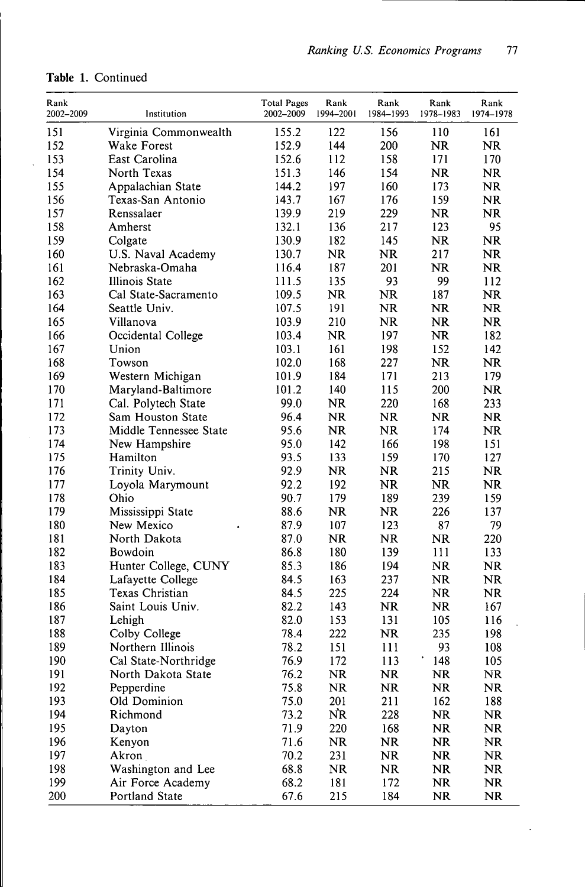$\ddot{\phantom{0}}$ 

| Rank<br>2002–2009 | Institution            | <b>Total Pages</b><br>2002-2009 | Rank<br>1994-2001 | Rank<br>1984-1993 | Rank<br>1978-1983 | Rank<br>1974-1978 |
|-------------------|------------------------|---------------------------------|-------------------|-------------------|-------------------|-------------------|
| 151               | Virginia Commonwealth  | 155.2                           | 122               | 156               | 110               | 161               |
| 152               | Wake Forest            | 152.9                           | 144               | 200               | <b>NR</b>         | <b>NR</b>         |
| 153               | East Carolina          | 152.6                           | 112               | 158               | 171               | 170               |
| 154               | North Texas            | 151.3                           | 146               | 154               | <b>NR</b>         | <b>NR</b>         |
| 155               | Appalachian State      | 144.2                           | 197               | 160               | 173               | <b>NR</b>         |
| 156               | Texas-San Antonio      | 143.7                           | 167               | 176               | 159               | <b>NR</b>         |
| 157               | Renssalaer             | 139.9                           | 219               | 229               | <b>NR</b>         | <b>NR</b>         |
| 158               | Amherst                | 132.1                           | 136               | 217               | 123               | 95                |
| 159               | Colgate                | 130.9                           | 182               | 145               | <b>NR</b>         | NR                |
| 160               | U.S. Naval Academy     | 130.7                           | <b>NR</b>         | <b>NR</b>         | 217               | <b>NR</b>         |
| 161               | Nebraska-Omaha         | 116.4                           | 187               | 201               | <b>NR</b>         | <b>NR</b>         |
| 162               | Illinois State         | 111.5                           | 135               | 93                | 99                | 112               |
| 163               | Cal State-Sacramento   | 109.5                           | <b>NR</b>         | NR                | 187               | <b>NR</b>         |
| 164               | Seattle Univ.          | 107.5                           | 191               | NR.               | <b>NR</b>         | NR                |
| 165               | Villanova              | 103.9                           | 210               | <b>NR</b>         | <b>NR</b>         | <b>NR</b>         |
| 166               | Occidental College     | 103.4                           | <b>NR</b>         | 197               | <b>NR</b>         | 182               |
| 167               | Union                  | 103.1                           | 161               | 198               | 152               | 142               |
| 168               | Towson                 | 102.0                           | 168               | 227               | <b>NR</b>         | <b>NR</b>         |
| 169               | Western Michigan       | 101.9                           | 184               | 171               | 213               | 179               |
| 170               | Maryland-Baltimore     | 101.2                           | 140               | 115               | 200               | <b>NR</b>         |
| 171               | Cal. Polytech State    | 99.0                            | <b>NR</b>         | 220               | 168               | 233               |
| 172               | Sam Houston State      | 96.4                            | <b>NR</b>         | <b>NR</b>         | <b>NR</b>         | <b>NR</b>         |
| 173               | Middle Tennessee State | 95.6                            | <b>NR</b>         | <b>NR</b>         | 174               | <b>NR</b>         |
| 174               | New Hampshire          | 95.0                            | 142               | 166               | 198               | 151               |
| 175               | Hamilton               | 93.5                            | 133               | 159               | 170               | 127               |
| 176               | Trinity Univ.          | 92.9                            | <b>NR</b>         | <b>NR</b>         | 215               | NR.               |
| 177               | Loyola Marymount       | 92.2                            | 192               | <b>NR</b>         | <b>NR</b>         | <b>NR</b>         |
| 178               | Ohio                   | 90.7                            | 179               | 189               | 239               | 159               |
| 179               | Mississippi State      | 88.6                            | <b>NR</b>         | NR.               | 226               | 137               |
| 180               | New Mexico             | 87.9                            | 107               | 123               | 87                | 79                |
| 181               | North Dakota           | 87.0                            | <b>NR</b>         | <b>NR</b>         | <b>NR</b>         | 220               |
| 182               | <b>Bowdoin</b>         | 86.8                            | 180               | 139               | 111               | 133               |
| 183               | Hunter College, CUNY   | 85.3                            | 186               | 194               | <b>NR</b>         | <b>NR</b>         |
| 184               | Lafayette College      | 84.5                            | 163               | 237               | <b>NR</b>         | <b>NR</b>         |
| 185               | Texas Christian        | 84.5                            | 225               | 224               | <b>NR</b>         | <b>NR</b>         |
| 186               | Saint Louis Univ.      | 82.2                            | 143               | <b>NR</b>         | <b>NR</b>         | 167               |
| 187               | Lehigh                 | 82.0                            | 153               | 131               | 105               | 116               |
| 188               | Colby College          | 78.4                            | 222               | <b>NR</b>         | 235               | 198               |
| 189               | Northern Illinois      | 78.2                            | 151               | 111               | 93                | 108               |
| 190               | Cal State-Northridge   | 76.9                            | 172               | 113               | 148               | 105               |
| 191               | North Dakota State     | 76.2                            | NR                | <b>NR</b>         | <b>NR</b>         | <b>NR</b>         |
| 192               | Pepperdine             | 75.8                            | <b>NR</b>         | NR                | <b>NR</b>         | <b>NR</b>         |
| 193               | Old Dominion           | 75.0                            | 201               | 211               | 162               | 188               |
| 194               | Richmond               | 73.2                            | NR                | 228               | <b>NR</b>         | <b>NR</b>         |
| 195               | Dayton                 | 71.9                            | 220               | 168               | <b>NR</b>         | <b>NR</b>         |
| 196               | Kenyon                 | 71.6                            | <b>NR</b>         | <b>NR</b>         | NR                | <b>NR</b>         |
| 197               | Akron                  | 70.2                            | 231               | <b>NR</b>         | <b>NR</b>         | <b>NR</b>         |
| 198               | Washington and Lee     | 68.8                            | <b>NR</b>         | NR.               | <b>NR</b>         | <b>NR</b>         |
| 199               | Air Force Academy      | 68.2                            | 181               | 172               | NR                | <b>NR</b>         |
| 200               | Portland State         | 67.6                            | 215               | 184               | <b>NR</b>         | <b>NR</b>         |
|                   |                        |                                 |                   |                   |                   |                   |

# **Table 1.** Continued

l.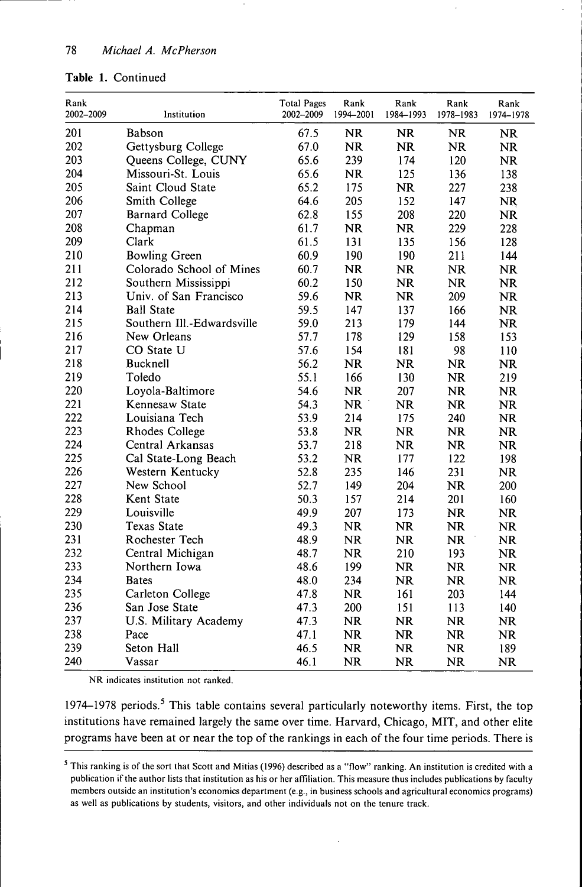## **Table 1.** Continued

| Rank<br>2002-2009 | Institution                | <b>Total Pages</b><br>2002-2009 | Rank<br>1994-2001 | Rank<br>1984-1993 | Rank<br>1978-1983 | Rank<br>1974-1978 |
|-------------------|----------------------------|---------------------------------|-------------------|-------------------|-------------------|-------------------|
| 201               | Babson                     | 67.5                            | <b>NR</b>         | <b>NR</b>         | <b>NR</b>         | <b>NR</b>         |
| 202               | Gettysburg College         | 67.0                            | <b>NR</b>         | <b>NR</b>         | <b>NR</b>         | <b>NR</b>         |
| 203               | Queens College, CUNY       | 65.6                            | 239               | 174               | 120               | <b>NR</b>         |
| 204               | Missouri-St. Louis         | 65.6                            | <b>NR</b>         | 125               | 136               | 138               |
| 205               | Saint Cloud State          | 65.2                            | 175               | <b>NR</b>         | 227               | 238               |
| 206               | Smith College              | 64.6                            | 205               | 152               | 147               | NR                |
| 207               | <b>Barnard College</b>     | 62.8                            | 155               | 208               | 220               | <b>NR</b>         |
| 208               | Chapman                    | 61.7                            | NR                | <b>NR</b>         | 229               | 228               |
| 209               | Clark                      | 61.5                            | 131               | 135               | 156               | 128               |
| 210               | <b>Bowling Green</b>       | 60.9                            | 190               | 190               | 211               | 144               |
| 211               | Colorado School of Mines   | 60.7                            | <b>NR</b>         | <b>NR</b>         | <b>NR</b>         | <b>NR</b>         |
| 212               | Southern Mississippi       | 60.2                            | 150               | NR                | <b>NR</b>         | <b>NR</b>         |
| 213               | Univ. of San Francisco     | 59.6                            | NR                | <b>NR</b>         | 209               | <b>NR</b>         |
| 214               | <b>Ball State</b>          | 59.5                            | 147               | 137               | 166               | <b>NR</b>         |
| 215               | Southern Ill.-Edwardsville | 59.0                            | 213               | 179               | 144               | <b>NR</b>         |
| 216               | New Orleans                | 57.7                            | 178               | 129               | 158               | 153               |
| 217               | CO State U                 | 57.6                            | 154               | 181               | 98                | 110               |
| 218               | Bucknell                   | 56.2                            | <b>NR</b>         | NR.               | <b>NR</b>         | <b>NR</b>         |
| 219               | Toledo                     | 55.1                            | 166               | 130               | <b>NR</b>         | 219               |
| 220               | Loyola-Baltimore           | 54.6                            | <b>NR</b>         | 207               | <b>NR</b>         | <b>NR</b>         |
| 221               | Kennesaw State             | 54.3                            | <b>NR</b>         | <b>NR</b>         | <b>NR</b>         | <b>NR</b>         |
| 222               | Louisiana Tech             | 53.9                            | 214               | 175               | 240               | <b>NR</b>         |
| 223               | Rhodes College             | 53.8                            | <b>NR</b>         | <b>NR</b>         | <b>NR</b>         | <b>NR</b>         |
| 224               | Central Arkansas           | 53.7                            | 218               | <b>NR</b>         | <b>NR</b>         | <b>NR</b>         |
| 225               | Cal State-Long Beach       | 53.2                            | <b>NR</b>         | 177               | 122               | 198               |
| 226               | Western Kentucky           | 52.8                            | 235               | 146               | 231               | NR                |
| 227               | New School                 | 52.7                            | 149               | 204               | <b>NR</b>         | 200               |
| 228               | Kent State                 | 50.3                            | 157               | 214               | 201               | 160               |
| 229               | Louisville                 | 49.9                            | 207               | 173               | <b>NR</b>         | <b>NR</b>         |
| 230               | <b>Texas State</b>         | 49.3                            | NR                | <b>NR</b>         | <b>NR</b>         | <b>NR</b>         |
| 231               | Rochester Tech             | 48.9                            | <b>NR</b>         | <b>NR</b>         | <b>NR</b>         | <b>NR</b>         |
| 232               | Central Michigan           | 48.7                            | <b>NR</b>         | 210               | 193               | <b>NR</b>         |
| 233               | Northern Iowa              | 48.6                            | 199               | <b>NR</b>         | <b>NR</b>         | NR                |
| 234               | <b>Bates</b>               | 48.0                            | 234               | <b>NR</b>         | <b>NR</b>         | <b>NR</b>         |
| 235               | Carleton College           | 47.8                            | <b>NR</b>         | 161               | 203               | 144               |
| 236               | San Jose State             | 47.3                            | 200               | 151               | 113               | 140               |
| 237               | U.S. Military Academy      | 47.3                            | <b>NR</b>         | <b>NR</b>         | <b>NR</b>         | <b>NR</b>         |
| 238               | Pace                       | 47.1                            | <b>NR</b>         | <b>NR</b>         | <b>NR</b>         | <b>NR</b>         |
| 239               | Seton Hall                 | 46.5                            | <b>NR</b>         | <b>NR</b>         | <b>NR</b>         | 189               |
| 240               | Vassar                     | 46.1                            | <b>NR</b>         | <b>NR</b>         | <b>NR</b>         | <b>NR</b>         |

NR indicates institution not ranked.

1974–1978 periods.<sup>5</sup> This table contains several particularly noteworthy items. First, the top institutions have remained largely the same over time. Harvard, Chicago, MIT, and other elite programs have been at or near the top of the rankings in each of the four time periods. There is

 $<sup>5</sup>$  This ranking is of the sort that Scott and Mitias (1996) described as a "flow" ranking. An institution is credited with a</sup> publication if the author lists that institution as his or her affiliation. This measure thus includes publications by faculty members outside an institution's economics department (e.g., in business schools and agricultural economics programs) as well as publications by students, visitors, and other individuals not on the tenure track.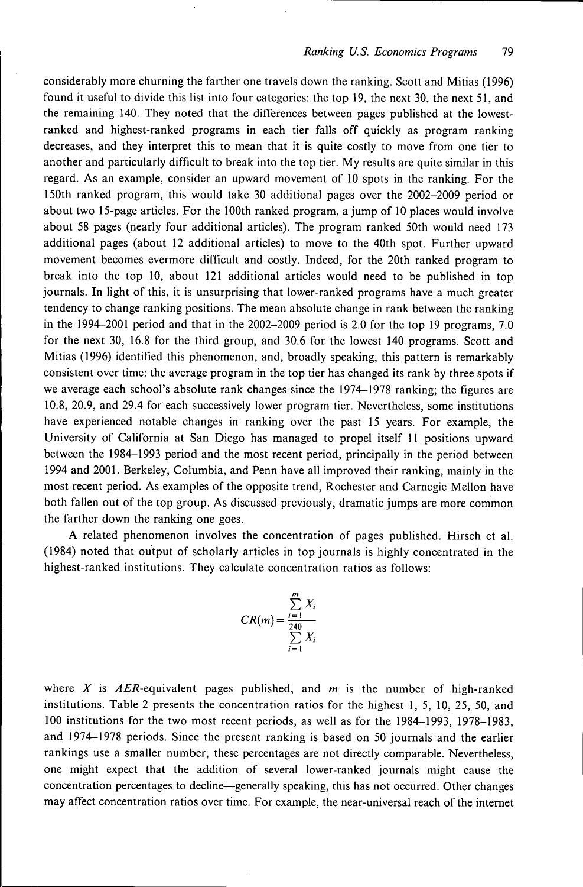considerably more churning the farther one travels down the ranking. Scott and Mitias (1996) found it useful to divide this list into four categories: the top 19, the next 30, the next 51, and the remaining 140. They noted that the differences between pages published at the lowestranked and highest-ranked programs in each tier falls off quickly as program ranking decreases, and they interpret this to mean that it is quite costly to move from one tier to another and particularly difficult to break into the top tier. My results are quite similar in this regard. As an example, consider an upward movement of 10 spots in the ranking. For the 150th ranked program, this would take 30 additional pages over the 2002-2009 period or about two 15-page articles. For the 100th ranked program, a jump of 10 places would involve about 58 pages (nearly four additional articles). The program ranked 50th would need 173 additional pages (about 12 additional articles) to move to the 40th spot. Further upward movement becomes evermore difficult and costly. Indeed, for the 20th ranked program to break into the top 10, about 121 additional articles would need to be published in top journals. In light of this, it is unsurprising that lower-ranked programs have a much greater tendency to change ranking positions. The mean absolute change in rank between the ranking in the 1994-2001 period and that in the 2002-2009 period is 2.0 for the top 19 programs, 7.0 for the next 30, 16.8 for the third group, and 30.6 for the lowest 140 programs. Scott and Mitias (1996) identified this phenomenon, and, broadly speaking, this pattern is remarkably consistent over time: the average program in the top tier has changed its rank by three spots if we average each school's absolute rank changes since the 1974-1978 ranking; the figures are 10.8, 20.9, and 29.4 for each successively lower program tier. Nevertheless, some institutions have experienced notable changes in ranking over the past 15 years. For example, the University of California at San Diego has managed to propel itself 11 positions upward between the 1984-1993 period and the most recent period, principally in the period between 1994 and 2001. Berkeley, Columbia, and Penn have all improved their ranking, mainly in the most recent period. As examples of the opposite trend, Rochester and Carnegie Mellon have both fallen out of the top group. As discussed previously, dramatic jumps are more common the farther down the ranking one goes.

A related phenomenon involves the concentration of pages published. Hirsch et al. (1984) noted that output of scholarly articles in top journals is highly concentrated in the highest-ranked institutions. They calculate concentration ratios as follows:

$$
CR(m) = \frac{\sum_{i=1}^{m} X_i}{\sum_{i=1}^{240} X_i}
$$

where *X* is *AER-equivalent* pages published, and *m* is the number of high-ranked institutions. Table 2 presents the concentration ratios for the highest 1, 5, 10, 25, 50, and 100 institutions for the two most recent periods, as well as for the 1984-1993, 1978-1983, and 1974-1978 periods. Since the present ranking is based on 50 journals and the earlier rankings use a smaller number, these percentages are not directly comparable. Nevertheless, one might expect that the addition of several lower-ranked journals might cause the concentration percentages to decline—generally speaking, this has not occurred. Other changes may affect concentration ratios over time. For example, the near-universal reach of the internet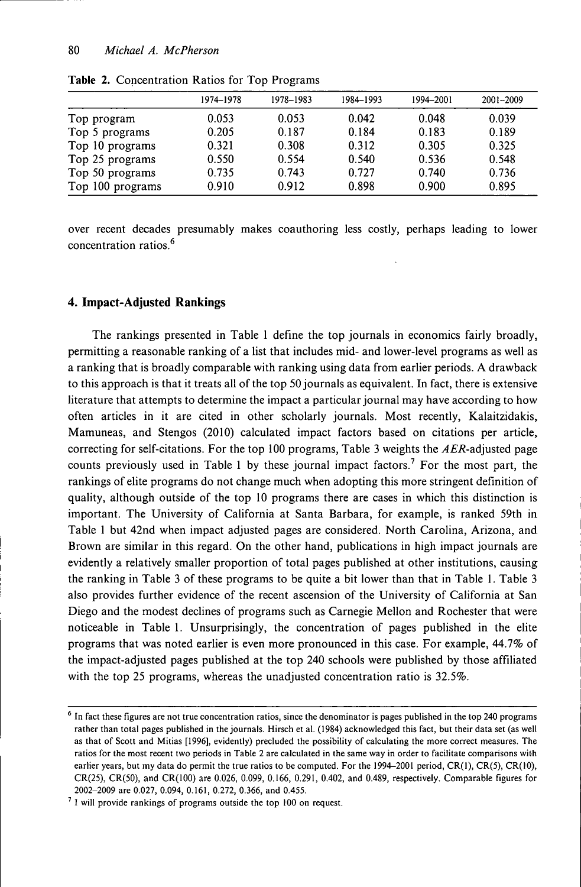|                  | 1974–1978 | 1978-1983 | 1984-1993 | 1994-2001 | 2001-2009 |
|------------------|-----------|-----------|-----------|-----------|-----------|
| Top program      | 0.053     | 0.053     | 0.042     | 0.048     | 0.039     |
| Top 5 programs   | 0.205     | 0.187     | 0.184     | 0.183     | 0.189     |
| Top 10 programs  | 0.321     | 0.308     | 0.312     | 0.305     | 0.325     |
| Top 25 programs  | 0.550     | 0.554     | 0.540     | 0.536     | 0.548     |
| Top 50 programs  | 0.735     | 0.743     | 0.727     | 0.740     | 0.736     |
| Top 100 programs | 0.910     | 0.912     | 0.898     | 0.900     | 0.895     |

**Table 2.** Concentration Ratios for Top Programs

over recent decades presumably makes coauthoring less costly, perhaps leading to lower **, 6** concentration ratios.

#### **4. Impact-Adjusted Rankings**

The rankings presented in Table 1 define the top journals in economics fairly broadly, permitting a reasonable ranking of a list that includes mid- and lower-level programs as well as a ranking that is broadly comparable with ranking using data from earlier periods. A drawback to this approach is that it treats all of the top 50 journals as equivalent. In fact, there is extensive literature that attempts to determine the impact a particular journal may have according to how often articles in it are cited in other scholarly journals. Most recently, Kalaitzidakis, Mamuneas, and Stengos (2010) calculated impact factors based on citations per article,, correcting for self-citations. For the top 100 programs, Table 3 weights the AER-adjusted page counts previously used in Table 1 by these journal impact factors.<sup>7</sup> For the most part, the rankings of elite programs do not change much when adopting this more stringent definition of quality, although outside of the top 10 programs there are cases in which this distinction is important. The University of California at Santa Barbara, for example, is ranked 59th in Table 1 but 42nd when impact adjusted pages are considered. North Carolina, Arizona, and Brown are similar in this regard. On the other hand, publications in high impact journals are evidently a relatively smaller proportion of total pages published at other institutions, causing the ranking in Table 3 of these programs to be quite a bit lower than that in Table 1. Table 3 also provides further evidence of the recent ascension of the University of California at San Diego and the modest declines of programs such as Carnegie Mellon and Rochester that were noticeable in Table 1. Unsurprisingly, the concentration of pages published in the elite programs that was noted earlier is even more pronounced in this case. For example, 44.7% of the impact-adjusted pages published at the top 240 schools were published by those affiliated with the top 25 programs, whereas the unadjusted concentration ratio is 32.5%.

 $<sup>6</sup>$  In fact these figures are not true concentration ratios, since the denominator is pages published in the top 240 programs</sup> rather than total pages published in the journals. Hirsch et al. (1984) acknowledged this fact, but their data set (as well as that of Scott and Mitias [1996], evidently) precluded the possibility of calculating the more correct measures. The ratios for the most recent two periods in Table 2 are calculated in the same way in order to facilitate comparisons with earlier years, but my data do permit the true ratios to be computed. For the 1994–2001 period, CR(1), CR(5), CR(10), CR(25), CR(50), and CR(IOO) are 0.026, 0.099, 0.166, 0.291, 0.402, and 0.489, respectively. Comparable figures for 2002-2009 are 0.027, 0.094, 0.161, 0.272, 0.366, and 0.455.

<sup>&</sup>lt;sup>7</sup> I will provide rankings of programs outside the top 100 on request.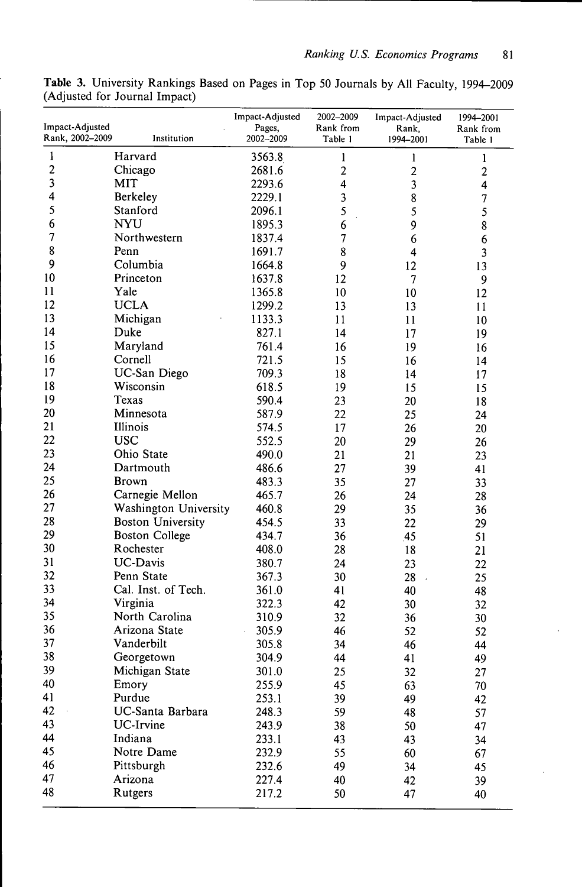| Impact-Adjusted<br>Rank, 2002-2009 | Institution                       | Impact-Adjusted<br>Pages,<br>2002-2009 | 2002-2009<br>Rank from<br>Table 1 | Impact-Adjusted<br>Rank,<br>1994-2001 | 1994-2001<br>Rank from  |
|------------------------------------|-----------------------------------|----------------------------------------|-----------------------------------|---------------------------------------|-------------------------|
| 1                                  | Harvard                           |                                        |                                   |                                       | Table 1                 |
| $\overline{\mathbf{c}}$            | Chicago                           | 3563.8<br>2681.6                       | 1                                 | 1                                     | 1                       |
| 3                                  | MIT                               |                                        | $\overline{c}$<br>4               | $\boldsymbol{2}$                      | $\overline{\mathbf{c}}$ |
| 4                                  | Berkeley                          | 2293.6<br>2229.1                       |                                   | 3                                     | 4                       |
| 5                                  |                                   |                                        | 3                                 | 8                                     | 7                       |
| 6                                  | Stanford<br><b>NYU</b>            | 2096.1                                 | 5                                 | 5                                     | 5                       |
| 7                                  | Northwestern                      | 1895.3                                 | 6<br>$\overline{7}$               | 9                                     | 8                       |
| 8                                  | Penn                              | 1837.4                                 |                                   | 6                                     | 6                       |
| 9                                  | Columbia                          | 1691.7                                 | 8                                 | 4                                     | 3                       |
| 10                                 | Princeton                         | 1664.8                                 | 9                                 | 12                                    | 13                      |
| 11                                 | Yale                              | 1637.8                                 | 12                                | 7                                     | 9                       |
| 12                                 | <b>UCLA</b>                       | 1365.8                                 | 10                                | 10                                    | 12                      |
| 13                                 |                                   | 1299.2                                 | 13                                | 13                                    | 11                      |
| 14                                 | Michigan                          | 1133.3                                 | 11                                | 11                                    | 10                      |
| 15                                 | Duke                              | 827.1                                  | 14                                | 17                                    | 19                      |
|                                    | Maryland                          | 761.4                                  | 16                                | 19                                    | 16                      |
| 16<br>17                           | Cornell                           | 721.5                                  | 15                                | 16                                    | 14                      |
| 18                                 | UC-San Diego<br>Wisconsin         | 709.3                                  | 18                                | 14                                    | 17                      |
|                                    |                                   | 618.5                                  | 19                                | 15                                    | 15                      |
| 19                                 | Texas                             | 590.4                                  | 23                                | 20                                    | 18                      |
| 20                                 | Minnesota                         | 587.9                                  | 22                                | 25                                    | 24                      |
| 21<br>22                           | Illinois<br><b>USC</b>            | 574.5                                  | 17                                | 26                                    | 20                      |
| 23                                 | Ohio State                        | 552.5                                  | 20                                | 29                                    | 26                      |
|                                    |                                   | 490.0                                  | 21                                | 21                                    | 23                      |
| 24<br>25                           | Dartmouth                         | 486.6                                  | 27                                | 39                                    | 41                      |
| 26                                 | <b>Brown</b>                      | 483.3                                  | 35                                | 27                                    | 33                      |
|                                    | Carnegie Mellon                   | 465.7                                  | 26                                | 24                                    | 28                      |
| 27<br>28                           | Washington University             | 460.8                                  | 29                                | 35                                    | 36                      |
| 29                                 | <b>Boston University</b>          | 454.5                                  | 33                                | 22                                    | 29                      |
| 30                                 | <b>Boston College</b>             | 434.7                                  | 36                                | 45                                    | 51                      |
| 31                                 | Rochester<br><b>UC-Davis</b>      | 408.0                                  | 28                                | 18                                    | 21                      |
| 32                                 |                                   | 380.7                                  | 24                                | 23                                    | 22                      |
| 33                                 | Penn State<br>Cal. Inst. of Tech. | 367.3                                  | 30                                | 28                                    | 25                      |
| 34                                 | Virginia                          | 361.0                                  | 41                                | 40                                    | 48                      |
| 35                                 | North Carolina                    | 322.3<br>310.9                         | 42<br>32                          | 30                                    | 32                      |
| 36                                 | Arizona State                     | 305.9                                  | 46                                | 36<br>52                              | 30                      |
| 37                                 | Vanderbilt                        | 305.8                                  | 34                                | 46                                    | 52<br>44                |
| 38                                 |                                   | 304.9                                  | 44                                |                                       |                         |
| 39                                 | Georgetown<br>Michigan State      | 301.0                                  |                                   | 41                                    | 49                      |
| 40                                 | Emory                             | 255.9                                  | 25<br>45                          | 32                                    | 27                      |
| 41                                 | Purdue                            | 253.1                                  | 39                                | 63<br>49                              | 70                      |
| 42                                 | UC-Santa Barbara                  | 248.3                                  | 59                                | 48                                    | 42                      |
| 43                                 | UC-Irvine                         | 243.9                                  |                                   |                                       | 57                      |
| 44                                 | Indiana                           | 233.1                                  | 38<br>43                          | 50                                    | 47                      |
| 45                                 | Notre Dame                        | 232.9                                  |                                   | 43                                    | 34                      |
| 46                                 | Pittsburgh                        | 232.6                                  | 55<br>49                          | 60                                    | 67                      |
| 47                                 | Arizona                           | 227.4                                  | 40                                | 34<br>42                              | 45                      |
| 48                                 | Rutgers                           | 217.2                                  | 50                                | 47                                    | 39                      |
|                                    |                                   |                                        |                                   |                                       | 40                      |

**Table 3.** University Rankings Based on Pages in Top 50 Journals by All Faculty, 1994-2009 (Adjusted for Journal Impact)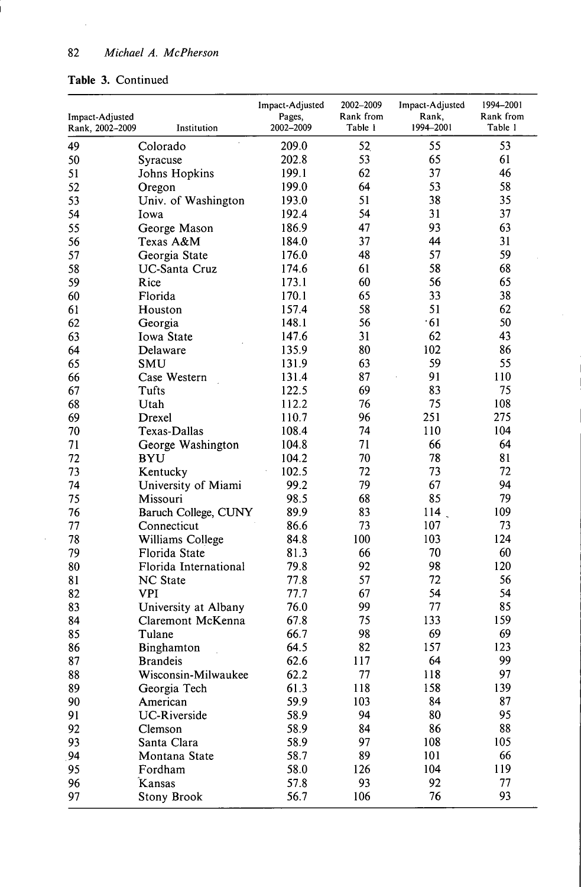## **Table 3.** Continued

 $\sim$ 

 $\hat{\boldsymbol{\theta}}$ 

| Impact-Adjusted<br>Rank, 2002-2009 | Institution                      | Impact-Adjusted<br>Pages,<br>2002-2009 | 2002-2009<br>Rank from<br>Table 1 | Impact-Adjusted<br>Rank,<br>1994-2001 | 1994-2001<br>Rank from<br>Table 1 |
|------------------------------------|----------------------------------|----------------------------------------|-----------------------------------|---------------------------------------|-----------------------------------|
| 49                                 | $\ddot{\phantom{a}}$<br>Colorado | 209.0                                  | 52                                | 55                                    | 53                                |
| 50                                 | Syracuse                         | 202.8                                  | 53                                | 65                                    | 61                                |
| 51                                 | Johns Hopkins                    | 199.1                                  | 62                                | 37                                    | 46                                |
| 52                                 | Oregon                           | 199.0                                  | 64                                | 53                                    | 58                                |
| 53                                 | Univ. of Washington              | 193.0                                  | 51                                | 38                                    | 35                                |
| 54                                 | Iowa                             | 192.4                                  | 54                                | 31                                    | 37                                |
| 55                                 | George Mason                     | 186.9                                  | 47                                | 93                                    | 63                                |
| 56                                 | Texas A&M                        | 184.0                                  | 37                                | 44                                    | 31                                |
| 57                                 | Georgia State                    | 176.0                                  | 48                                | 57                                    | 59                                |
| 58                                 | <b>UC-Santa Cruz</b>             | 174.6                                  | 61                                | 58                                    | 68                                |
| 59                                 | Rice                             | 173.1                                  | 60                                | 56                                    | 65                                |
| 60                                 | Florida                          | 170.1                                  | 65                                | 33                                    | 38                                |
| 61                                 | Houston                          | 157.4                                  | 58                                | 51                                    | 62                                |
| 62                                 | Georgia                          | 148.1                                  | 56                                | .61                                   | 50                                |
| 63                                 | Iowa State                       | 147.6                                  | 31                                | 62                                    | 43                                |
| 64                                 | Delaware                         | 135.9                                  | 80                                | 102                                   | 86                                |
| 65                                 | SMU                              | 131.9                                  | 63                                | 59                                    | 55                                |
| 66                                 | Case Western                     | 131.4                                  | 87                                | 91                                    | 110                               |
| 67                                 | Tufts                            | 122.5                                  | 69                                | 83                                    | 75                                |
| 68                                 | Utah                             | 112.2                                  | 76                                | 75                                    | 108                               |
| 69                                 | Drexel                           | 110.7                                  | 96                                | 251                                   | 275                               |
| 70                                 | Texas-Dallas                     | 108.4                                  | 74                                | 110                                   | 104                               |
| 71                                 | George Washington                | 104.8                                  | 71                                | 66                                    | 64                                |
| 72                                 | <b>BYU</b>                       | 104.2                                  | 70                                | 78                                    | 81                                |
| 73                                 | Kentucky                         | 102.5                                  | 72                                | 73                                    | 72                                |
| 74                                 | University of Miami              | 99.2                                   | 79                                | 67                                    | 94                                |
| 75                                 | Missouri                         | 98.5                                   | 68                                | 85                                    | 79                                |
| 76                                 | Baruch College, CUNY             | 89.9                                   | 83                                | 114                                   | 109                               |
| 77                                 | Connecticut                      | 86.6                                   | 73                                | 107                                   | 73                                |
| 78                                 | Williams College                 | 84.8                                   | 100                               | 103                                   | 124                               |
| 79                                 | Florida State                    | 81.3                                   | 66                                | 70                                    | 60                                |
| 80                                 | Florida International            | 79.8                                   | 92                                | 98                                    | 120                               |
| 81                                 | <b>NC</b> State                  | 77.8                                   | 57                                | 72                                    | 56                                |
| 82                                 | <b>VPI</b>                       | 77.7                                   | 67                                | 54                                    | 54                                |
| 83                                 | University at Albany             | 76.0                                   | 99                                | 77                                    | 85                                |
| 84                                 | Claremont McKenna                | 67.8                                   | 75                                | 133                                   | 159                               |
| 85                                 | Tulane                           | 66.7                                   | 98                                | 69                                    | 69                                |
| 86                                 | Binghamton                       | 64.5                                   | 82                                | 157                                   | 123                               |
| 87                                 | <b>Brandeis</b>                  | 62.6                                   | 117                               | 64                                    | 99                                |
| 88                                 | Wisconsin-Milwaukee              | 62.2                                   | 77                                | 118                                   | 97                                |
| 89                                 | Georgia Tech                     | 61.3                                   | 118                               | 158                                   | 139                               |
| 90                                 | American                         | 59.9                                   | 103                               | 84                                    | 87                                |
| 91                                 | <b>UC-Riverside</b>              | 58.9                                   | 94                                | 80                                    | 95                                |
| 92                                 | Clemson                          | 58.9                                   | 84                                | 86                                    | 88                                |
| 93                                 | Santa Clara                      | 58.9                                   | 97                                | 108                                   | 105                               |
| 94                                 | Montana State                    | 58.7                                   | 89                                | 101                                   | 66                                |
| 95                                 | Fordham                          | 58.0                                   | 126                               | 104                                   | 119                               |
| 96                                 | Kansas                           | 57.8                                   | 93                                | 92                                    | 77                                |
| 97                                 | <b>Stony Brook</b>               | 56.7                                   | 106                               | 76                                    | 93                                |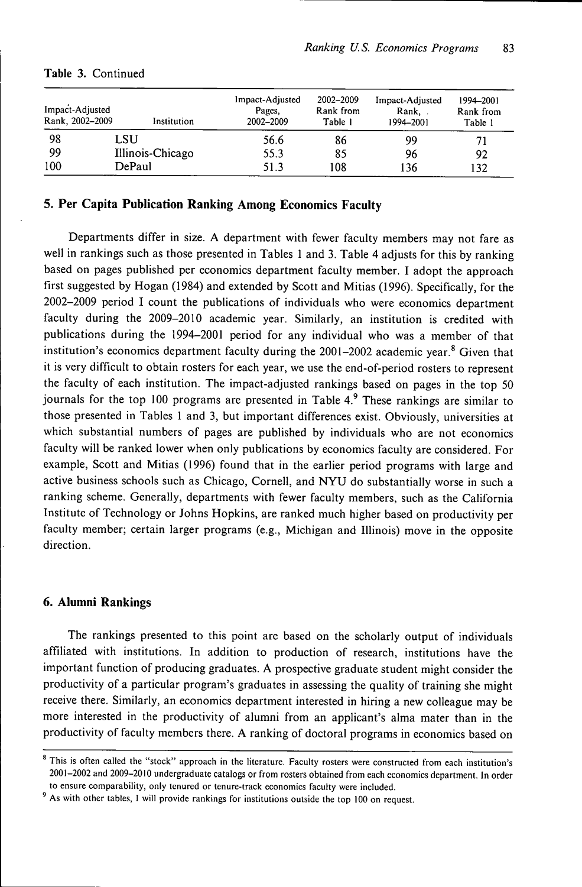|     | Impact-Adjusted<br>Rank, 2002–2009 | Institution      | Impact-Adjusted<br>Pages.<br>2002-2009 | 2002-2009<br>Rank from<br>Table 1 | Impact-Adjusted<br>Rank,<br>1994-2001 | 1994-2001<br>Rank from<br>Table 1 |
|-----|------------------------------------|------------------|----------------------------------------|-----------------------------------|---------------------------------------|-----------------------------------|
| 98  | LSU                                |                  | 56.6                                   | 86                                | 99                                    | 71                                |
| 99  |                                    | Illinois-Chicago | 55.3                                   | 85                                | 96                                    | 92                                |
| 100 |                                    | DePaul           | 51.3                                   | 108                               | 136                                   | $\overline{32}$                   |

## **Table 3.** Continued

## **5. Per Capita Publication Ranking Among Economics Faculty**

Departments differ in size. A department with fewer faculty members may not fare as well in rankings such as those presented in Tables 1 and 3. Table 4 adjusts for this by ranking based on pages published per economics department faculty member. I adopt the approach first suggested by Hogan (1984) and extended by Scott and Mitias (1996). Specifically, for the 2002-2009 period I count the publications of individuals who were economics department faculty during the 2009-2010 academic year. Similarly, an institution is credited with publications during the 1994-2001 period for any individual who was a member of that institution's economics department faculty during the  $2001-2002$  academic year.<sup>8</sup> Given that it is very difficult to obtain rosters for each year, we use the end-of-period rosters to represent the faculty of each institution. The impact-adjusted rankings based on pages in the top 50 journals for the top 100 programs are presented in Table  $4.9$  These rankings are similar to those presented in Tables 1 and 3, but important differences exist. Obviously, universities at which substantial numbers of pages are published by individuals who are not economics faculty will be ranked lower when only publications by economics faculty are considered. For example, Scott and Mitias (1996) found that in the earlier period programs with large and active business schools such as Chicago, Cornell, and NYU do substantially worse in such a ranking scheme. Generally, departments with fewer faculty members, such as the California Institute of Technology or Johns Hopkins, are ranked much higher based on productivity per faculty member; certain larger programs (e.g., Michigan and Illinois) move in the opposite direction.

#### **6. Alumni Rankings**

The rankings presented to this point are based on the scholarly output of individuals affiliated with institutions. In addition to production of research, institutions have the important function of producing graduates. A prospective graduate student might consider the productivity of a particular program's graduates in assessing the quality of training she might receive there. Similarly, an economics department interested in hiring a new colleague may be more interested in the productivity of alumni from an applicant's alma mater than in the productivity of faculty members there. A ranking of doctoral programs in economics based on

<sup>&</sup>lt;sup>8</sup> This is often called the "stock" approach in the literature. Faculty rosters were constructed from each institution's 2001-2002 and 2009-2010 undergraduate catalogs or from rosters obtained from each economics department. In order to ensure comparability, only tenured or tenure-track economics faculty were included.

As with other tables, I will provide rankings for institutions outside the top 100 on request.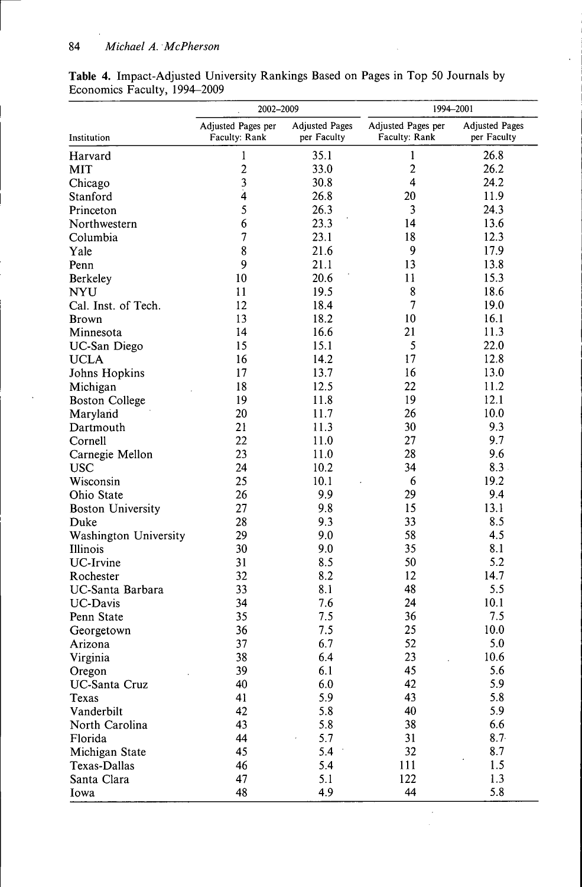|                          | 2002-2009          |                       | 1994-2001               |                       |  |
|--------------------------|--------------------|-----------------------|-------------------------|-----------------------|--|
|                          | Adjusted Pages per | <b>Adjusted Pages</b> | Adjusted Pages per      | <b>Adjusted Pages</b> |  |
| Institution              | Faculty: Rank      | per Faculty           | Faculty: Rank           | per Faculty           |  |
| Harvard                  | 1                  | 35.1                  | 1                       | 26.8                  |  |
| <b>MIT</b>               | $\overline{c}$     | 33.0                  | $\overline{c}$          | 26.2                  |  |
| Chicago                  | $\mathfrak{Z}$     | 30.8                  | $\overline{\mathbf{4}}$ | 24.2                  |  |
| Stanford                 | $\dot{4}$          | 26.8                  | 20                      | 11.9                  |  |
| Princeton                | 5                  | 26.3                  | 3                       | 24.3                  |  |
| Northwestern             | 6                  | 23.3                  | 14                      | 13.6                  |  |
| Columbia                 | 7                  | 23.1                  | 18                      | 12.3                  |  |
| Yale                     | 8                  | 21.6                  | 9                       | 17.9                  |  |
| Penn                     | 9                  | 21.1                  | 13                      | 13.8                  |  |
| Berkeley                 | 10                 | 20.6                  | 11                      | 15.3                  |  |
| <b>NYU</b>               | 11                 | 19.5                  | 8                       | 18.6                  |  |
| Cal. Inst. of Tech.      | 12                 | 18.4                  | 7                       | 19.0                  |  |
| <b>Brown</b>             | 13                 | 18.2                  | 10                      | 16.1                  |  |
| Minnesota                | 14                 | 16.6                  | 21                      | 11.3                  |  |
| UC-San Diego             | 15                 | 15.1                  | 5                       | 22.0                  |  |
| <b>UCLA</b>              | 16                 | 14.2                  | 17                      | 12.8                  |  |
| Johns Hopkins            | 17                 | 13.7                  | 16                      | 13.0                  |  |
| Michigan                 | 18                 | 12.5                  | 22                      | 11.2                  |  |
| <b>Boston College</b>    | 19                 | 11.8                  | 19                      | 12.1                  |  |
| Maryland                 | 20                 | 11.7                  | 26                      | 10.0                  |  |
| Dartmouth                | 21                 | 11.3                  | 30                      | 9.3                   |  |
| Cornell                  | 22                 | 11.0                  | 27                      | 9.7                   |  |
| Carnegie Mellon          | 23                 | 11.0                  | 28                      | 9.6                   |  |
| <b>USC</b>               | 24                 | 10.2                  | 34                      | 8.3.                  |  |
| Wisconsin                | 25                 | 10.1                  | 6                       | 19.2                  |  |
| Ohio State               | 26                 | 9.9                   | 29                      | 9.4                   |  |
| <b>Boston University</b> | 27                 | 9.8                   | 15                      | 13.1                  |  |
| Duke                     | 28                 | 9.3                   | 33                      | 8.5                   |  |
| Washington University    | 29                 | 9.0                   | 58                      | 4.5                   |  |
| Illinois                 | 30                 | 9.0                   | 35                      | 8.1                   |  |
| <b>UC-Irvine</b>         | 31                 | 8.5                   | 50                      | 5.2                   |  |
| Rochester                | 32                 | 8.2                   | 12                      | 14.7                  |  |
| UC-Santa Barbara         | 33                 | 8.1                   | 48                      | 5.5                   |  |
| <b>UC-Davis</b>          | 34                 | 7.6                   | 24                      | 10.1                  |  |
| Penn State               | 35                 | 7.5                   | 36                      | 7.5                   |  |
| Georgetown               | 36                 | 7.5                   | 25                      | 10.0                  |  |
| Arizona                  | 37                 | 6.7                   | 52                      | 5.0                   |  |
| Virginia                 | 38                 | 6.4                   | 23                      | 10.6                  |  |
| Oregon                   | 39                 | 6.1                   | 45                      | 5.6                   |  |
| UC-Santa Cruz            | 40                 | 6.0                   | 42                      | 5.9                   |  |
| Texas                    | 41                 | 5.9                   | 43                      | 5.8                   |  |
| Vanderbilt               | 42                 | 5.8                   | 40                      | 5.9                   |  |
| North Carolina           | 43                 | 5.8                   | 38                      | 6.6                   |  |
| Florida                  | 44                 | 5.7                   | 31                      | $8.7 -$               |  |
| Michigan State           | 45                 | 5.4                   | 32                      | 8.7                   |  |
| Texas-Dallas             | 46                 | 5.4                   | 111                     | 1.5                   |  |
| Santa Clara              | 47                 | 5.1                   | 122                     | 1.3                   |  |
| Iowa                     | 48                 | 4.9                   | 44                      | 5.8                   |  |

 $\cdot$ 

**Table 4.** Impact-Adjusted University Rankings Based on Pages in Top 50 Journals by Economics Faculty, 1994-2009

 $\overline{a}$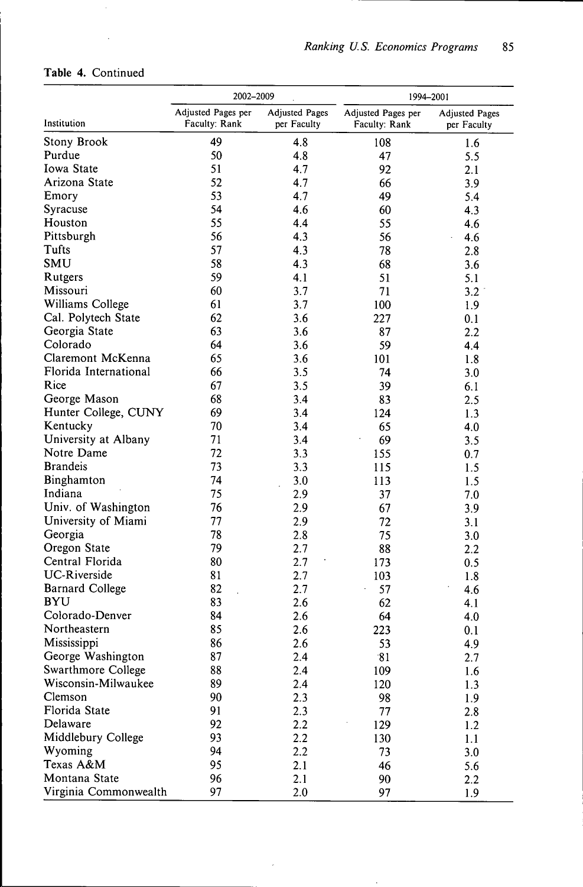|  |  |  | Table 4. Continued |
|--|--|--|--------------------|
|--|--|--|--------------------|

 $\hat{\boldsymbol{\beta}}$ 

 $\mathcal{A}^{\mathcal{A}}$ 

|                        | 2002-2009          |                       | 1994-2001          |                       |  |
|------------------------|--------------------|-----------------------|--------------------|-----------------------|--|
|                        | Adjusted Pages per | <b>Adjusted Pages</b> | Adjusted Pages per | <b>Adjusted Pages</b> |  |
| Institution            | Faculty: Rank      | per Faculty           | Faculty: Rank      | per Faculty           |  |
| Stony Brook            | 49                 | 4.8                   | 108                | 1.6                   |  |
| Purdue                 | 50                 | 4.8                   | 47                 | 5.5                   |  |
| Iowa State             | 51                 | 4.7                   | 92                 | 2.1                   |  |
| Arizona State          | 52                 | 4.7                   | 66                 | 3.9                   |  |
| Emory                  | 53                 | 4.7                   | 49                 | 5.4                   |  |
| Syracuse               | 54                 | 4.6                   | 60                 | 4.3                   |  |
| Houston                | 55                 | 4.4                   | 55                 | 4.6                   |  |
| Pittsburgh             | 56                 | 4.3                   | 56                 | 4.6                   |  |
| Tufts                  | 57                 | 4.3                   | 78                 | 2.8                   |  |
| SMU                    | 58                 | 4.3                   | 68                 | 3.6                   |  |
| Rutgers                | 59                 | 4.1                   | 51                 | 5.1                   |  |
| Missouri               | 60                 | 3.7                   | 71                 | 3.2                   |  |
| Williams College       | 61                 | 3.7                   | 100                | 1.9                   |  |
| Cal. Polytech State    | 62                 | 3.6                   | 227                | 0.1                   |  |
| Georgia State          | 63                 | 3.6                   | 87                 | 2.2                   |  |
| Colorado               | 64                 | 3.6                   | 59                 | 4.4                   |  |
| Claremont McKenna      | 65                 | 3.6                   | 101                | 1.8                   |  |
| Florida International  | 66                 | 3.5                   | 74                 | 3.0                   |  |
| Rice                   | 67                 | 3.5                   | 39                 | 6.1                   |  |
| George Mason           | 68                 | 3.4                   | 83                 | 2.5                   |  |
| Hunter College, CUNY   | 69                 | 3.4                   | 124                | 1.3                   |  |
| Kentucky               | 70                 | 3.4                   | 65                 | 4.0                   |  |
| University at Albany   | 71                 | 3.4                   | 69                 | 3.5                   |  |
| Notre Dame             | 72                 | 3.3                   | 155                | 0.7                   |  |
| <b>Brandeis</b>        | 73                 | 3.3                   | 115                | 1.5                   |  |
| Binghamton             | 74                 | 3.0                   | 113                | 1.5                   |  |
| Indiana                | 75                 | 2.9                   | 37                 | 7.0                   |  |
| Univ. of Washington    | 76                 | 2.9                   | 67                 | 3.9                   |  |
| University of Miami    | 77                 | 2.9                   | 72                 | 3.1                   |  |
| Georgia                | 78                 | 2.8                   | 75                 | 3.0                   |  |
| Oregon State           | 79                 | 2.7                   | 88                 | 2.2                   |  |
| Central Florida        | 80                 | 2.7                   | 173                | 0.5                   |  |
| <b>UC-Riverside</b>    | 81                 | 2.7                   | 103                | 1.8                   |  |
| <b>Barnard College</b> | 82                 | 2.7                   | 57                 | 4.6                   |  |
| <b>BYU</b>             | 83                 | 2.6                   | 62                 | 4.1                   |  |
| Colorado-Denver        | 84                 | 2.6                   | 64                 | 4.0                   |  |
| Northeastern           | 85                 | 2.6                   | 223                | 0.1                   |  |
| Mississippi            | 86                 | 2.6                   | 53                 | 4.9                   |  |
| George Washington      | 87                 | 2.4                   | 81                 | 2.7                   |  |
| Swarthmore College     | 88                 | 2.4                   | 109                | 1.6                   |  |
| Wisconsin-Milwaukee    | 89                 | 2.4                   | 120                | 1.3                   |  |
| Clemson                | 90                 | 2.3                   | 98                 | 1.9                   |  |
| Florida State          | 91                 | 2.3                   | 77                 | 2.8                   |  |
| Delaware               | 92                 | 2.2                   | 129                | 1.2                   |  |
| Middlebury College     | 93                 | 2.2                   | 130                | 1.1                   |  |
| Wyoming                | 94                 | 2.2                   | 73                 | 3.0                   |  |
| Texas A&M              | 95                 | 2.1                   | 46                 | 5.6                   |  |
| Montana State          | 96                 | 2.1                   | 90                 | 2.2                   |  |
| Virginia Commonwealth  | 97                 | 2.0                   | 97                 | 1.9                   |  |

 $\hat{\epsilon}$ 

 $\epsilon$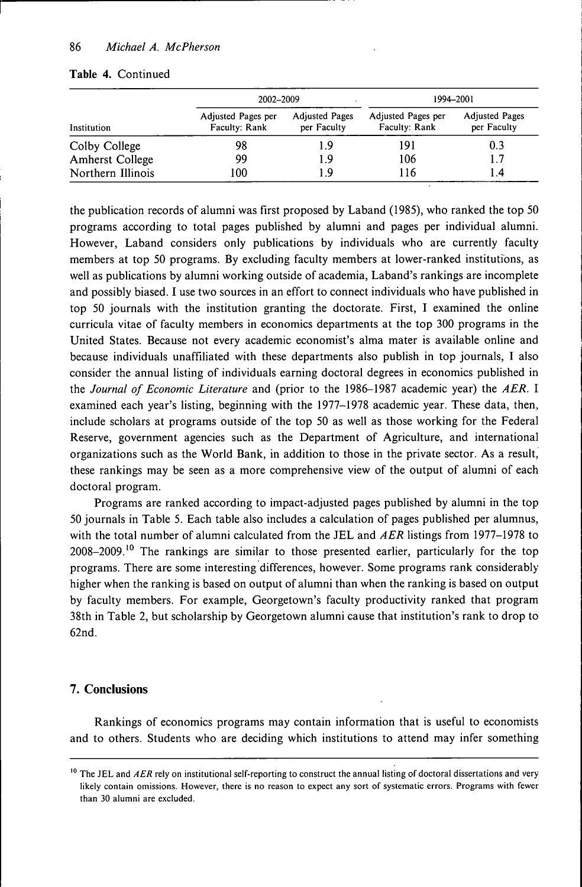|                        | 2002-2009                           |                                      | 1994-2001                           |                                      |
|------------------------|-------------------------------------|--------------------------------------|-------------------------------------|--------------------------------------|
| Institution            | Adjusted Pages per<br>Faculty: Rank | <b>Adjusted Pages</b><br>per Faculty | Adjusted Pages per<br>Faculty: Rank | <b>Adjusted Pages</b><br>per Faculty |
| Colby College          | 98                                  | 1.9                                  | 191                                 | 0.3                                  |
| <b>Amherst College</b> | 99                                  | 1.9                                  | 106                                 | 1.7                                  |
| Northern Illinois      | 100                                 | 19                                   | 116                                 | 1.4                                  |

#### **Table 4.** Continued

the publication records of alumni was first proposed by Laband (1985), who ranked the top 50 programs according to total pages published by alumni and pages per individual alumni. However, Laband considers only publications by individuals who are currently faculty members at top 50 programs. By excluding faculty members at lower-ranked institutions, as well as publications by alumni working outside of academia, Laband's rankings are incomplete and possibly biased. I use two sources in an effort to connect individuals who have published in top 50 journals with the institution granting the doctorate. First, I examined the online curricula vitae of faculty members in economics departments at the top 300 programs in the United States. Because not every academic economist's alma mater is available online and because individuals unaffiliated with these departments also publish in top journals, I also consider the annual listing of individuals earning doctoral degrees in economics published in the *Journal of Economic Literature* and (prior to the 1986-1987 academic year) the *AER.* I examined each year's listing, beginning with the 1977-1978 academic year. These data, then, include scholars at programs outside of the top 50 as well as those working for the Federal Reserve, government agencies such as the Department of Agriculture, and international organizations such as the World Bank, in addition to those in the private sector. As a result, these rankings may be seen as a more comprehensive view of the output of alumni of each doctoral program.

Programs are ranked according to impact-adjusted pages published by alumni in the top 50 journals in Table 5. Each table also includes a calculation of pages published per alumnus, with the total number of alumni calculated from the JEL and *AER* listings from 1977-1978 to 2008-2009.<sup>10</sup> The rankings are similar to those presented earlier, particularly for the top programs. There are some interesting differences, however. Some programs rank considerably higher when the ranking is based on output of alumni than when the ranking is based on output by faculty members. For example, Georgetown's faculty productivity ranked that program 38th in Table 2, but scholarship by Georgetown alumni cause that institution's rank to drop to 62nd.

### **7. Conclusions**

Rankings of economics programs may contain information that is useful to economists and to others. Students who are deciding which institutions to attend may infer something

<sup>&</sup>lt;sup>10</sup> The JEL and AER rely on institutional self-reporting to construct the annual listing of doctoral dissertations and very likely contain omissions. However, there is no reason to expect any sort of systematic errors. Programs with fewer than 30 alumni are excluded.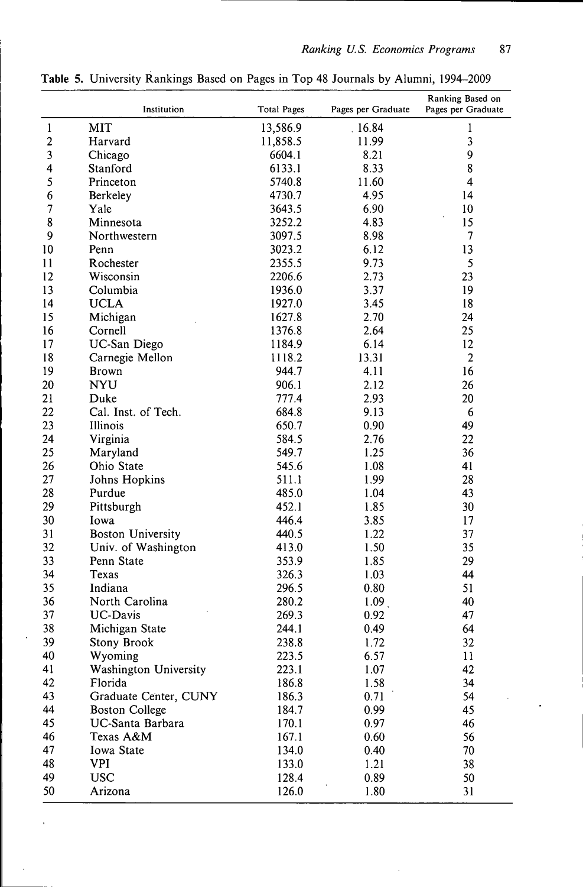|                | Institution              | <b>Total Pages</b> | Pages per Graduate | Ranking Based on<br>Pages per Graduate |
|----------------|--------------------------|--------------------|--------------------|----------------------------------------|
| $\mathbf{1}$   | <b>MIT</b>               | 13,586.9           | .16.84             | 1                                      |
| $\overline{2}$ | Harvard                  | 11,858.5           | 11.99              | 3                                      |
| 3              | Chicago                  | 6604.1             | 8.21               | 9                                      |
| 4              | Stanford                 | 6133.1             | 8.33               | 8                                      |
| 5              | Princeton                | 5740.8             | 11.60              | 4                                      |
| 6              | Berkeley                 | 4730.7             | 4.95               | 14                                     |
| $\overline{7}$ | Yale                     | 3643.5             | 6.90               | 10                                     |
| 8              | Minnesota                | 3252.2             | 4.83               | 15                                     |
| 9              | Northwestern             | 3097.5             | 8.98               | $\overline{\phantom{a}}$               |
| 10             | Penn                     | 3023.2             | 6.12               | 13                                     |
| 11             | Rochester                | 2355.5             | 9.73               | 5                                      |
| 12             | Wisconsin                | 2206.6             | 2.73               | 23                                     |
| 13             | Columbia                 | 1936.0             | 3.37               | 19                                     |
| 14             | <b>UCLA</b>              | 1927.0             | 3.45               | 18                                     |
| 15             | Michigan                 | 1627.8             | 2.70               | 24                                     |
| 16             | Cornell                  | 1376.8             | 2.64               | 25                                     |
| 17             | UC-San Diego             | 1184.9             | 6.14               | 12                                     |
| 18             | Carnegie Mellon          | 1118.2             | 13.31              | $\overline{2}$                         |
| 19             | <b>Brown</b>             | 944.7              | 4.11               | 16                                     |
| 20             | <b>NYU</b>               | 906.1              | 2.12               | 26                                     |
| 21             | Duke                     | 777.4              | 2.93               | 20                                     |
| 22             | Cal. Inst. of Tech.      | 684.8              | 9.13               | 6                                      |
| 23             | Illinois                 | 650.7              | 0.90               | 49                                     |
| 24             | Virginia                 | 584.5              | 2.76               | 22                                     |
| 25             |                          | 549.7              | 1.25               | 36                                     |
|                | Maryland                 |                    |                    |                                        |
| 26             | Ohio State               | 545.6              | 1.08               | 41                                     |
| 27             | Johns Hopkins            | 511.1              | 1.99               | 28                                     |
| 28             | Purdue                   | 485.0              | 1.04               | 43                                     |
| 29             | Pittsburgh               | 452.1              | 1.85               | 30                                     |
| 30             | Iowa                     | 446.4              | 3.85               | 17                                     |
| 31             | <b>Boston University</b> | 440.5              | 1.22               | 37                                     |
| 32             | Univ. of Washington      | 413.0              | 1.50               | 35                                     |
| 33             | Penn State               | 353.9              | 1.85               | 29                                     |
| 34             | Texas                    | 326.3              | 1.03               | 44                                     |
| 35             | Indiana                  | 296.5              | 0.80               | 51                                     |
| 36             | North Carolina           | 280.2              | 1.09 <sub>1</sub>  | 40                                     |
| 37             | UC-Davis                 | 269.3              | 0.92               | 47                                     |
| 38             | Michigan State           | 244.1              | 0.49               | 64                                     |
| 39             | Stony Brook              | 238.8              | 1.72               | 32                                     |
| 40             | Wyoming                  | 223.5              | 6.57               | 11                                     |
| 41             | Washington University    | 223.1              | 1.07               | 42                                     |
| 42             | Florida                  | 186.8              | 1.58               | 34                                     |
| 43             | Graduate Center, CUNY    | 186.3              | 0.71               | 54                                     |
| 44             | <b>Boston College</b>    | 184.7              | 0.99               | 45                                     |
| 45             | UC-Santa Barbara         | 170.1              | 0.97               | 46                                     |
| 46             | Texas A&M                | 167.1              | 0.60               | 56                                     |
| 47             | Iowa State               | 134.0              | 0.40               | 70                                     |
| 48             | <b>VPI</b>               | 133.0              | 1.21               | 38                                     |
| 49             | <b>USC</b>               | 128.4              | 0.89               | 50                                     |
| 50             | Arizona                  | 126.0              | 1.80               | 31                                     |

**Table 5.** University Rankings Based on Pages in Top 48 Journals by Alumni, 1994-2009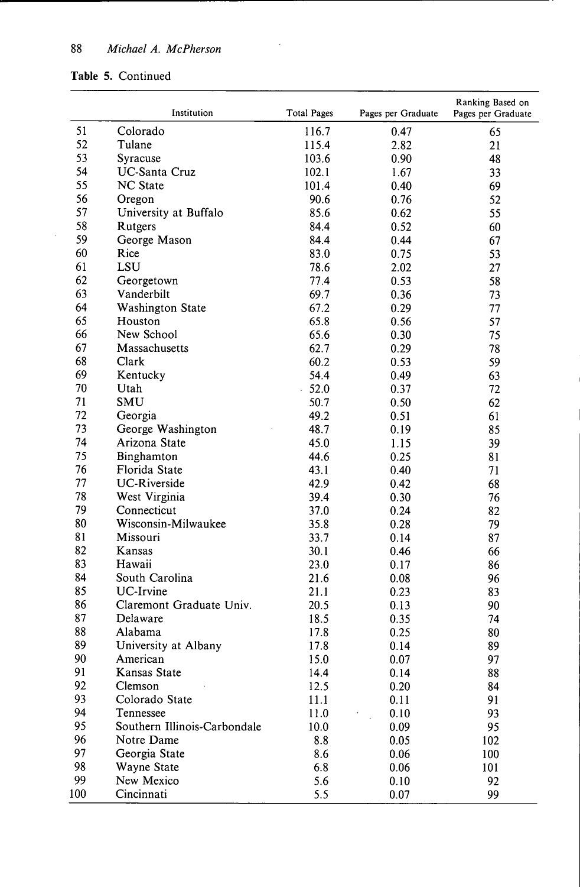#### **Table** 5. Continued

 $\sim$ 

|     | Institution                  | <b>Total Pages</b> | Pages per Graduate | Ranking Based on<br>Pages per Graduate |
|-----|------------------------------|--------------------|--------------------|----------------------------------------|
| 51  | Colorado                     | 116.7              | 0.47               | 65                                     |
| 52  | Tulane                       | 115.4              | 2.82               | 21                                     |
| 53  | Syracuse                     | 103.6              | 0.90               | 48                                     |
| 54  | <b>UC-Santa Cruz</b>         | 102.1              | 1.67               | 33                                     |
| 55  | <b>NC</b> State              | 101.4              | 0.40               | 69                                     |
| 56  | Oregon                       | 90.6               | 0.76               | 52                                     |
| 57  | University at Buffalo        | 85.6               | 0.62               | 55                                     |
| 58  | Rutgers                      | 84.4               | 0.52               | 60                                     |
| 59  | George Mason                 | 84.4               | 0.44               | 67                                     |
| 60  | Rice                         | 83.0               | 0.75               | 53                                     |
| 61  | LSU                          | 78.6               | 2.02               | 27                                     |
| 62  | Georgetown                   | 77.4               | 0.53               | 58                                     |
| 63  | Vanderbilt                   | 69.7               | 0.36               | 73                                     |
| 64  | <b>Washington State</b>      | 67.2               | 0.29               | 77                                     |
| 65  | Houston                      | 65.8               | 0.56               | 57                                     |
| 66  | New School                   | 65.6               | 0.30               | 75                                     |
| 67  | Massachusetts                | 62.7               | 0.29               | 78                                     |
| 68  | Clark                        | 60.2               | 0.53               | 59                                     |
| 69  | Kentucky                     | 54.4               | 0.49               | 63                                     |
| 70  | Utah                         | 52.0               | 0.37               | 72                                     |
| 71  | SMU                          | 50.7               | 0.50               | 62                                     |
| 72  | Georgia                      | 49.2               | 0.51               | 61                                     |
| 73  | George Washington            | 48.7               | 0.19               | 85                                     |
| 74  | Arizona State                | 45.0               | 1.15               | 39                                     |
| 75  | Binghamton                   | 44.6               | 0.25               | 81                                     |
| 76  | Florida State                | 43.1               | 0.40               | 71                                     |
| 77  | <b>UC-Riverside</b>          | 42.9               | 0.42               | 68                                     |
| 78  | West Virginia                | 39.4               | 0.30               | 76                                     |
| 79  | Connecticut                  | 37.0               | 0.24               | 82                                     |
| 80  | Wisconsin-Milwaukee          | 35.8               | 0.28               | 79                                     |
| 81  | Missouri                     | 33.7               | 0.14               | 87                                     |
| 82  | Kansas                       | 30.1               | 0.46               | 66                                     |
| 83  | Hawaii                       | 23.0               | 0.17               | 86                                     |
| 84  | South Carolina               | 21.6               | 0.08               | 96                                     |
| 85  | UC-Irvine                    | 21.1               | 0.23               | 83                                     |
| 86  | Claremont Graduate Univ.     | 20.5               | 0.13               | 90                                     |
| 87  | Delaware                     | 18.5               | 0.35               | 74                                     |
| 88  | Alabama                      | 17.8               | 0.25               | 80                                     |
| 89  | University at Albany         | 17.8               | 0.14               | 89                                     |
| 90  | American                     | 15.0               | 0.07               | 97                                     |
| 91  | Kansas State                 | 14.4               | 0.14               | 88                                     |
| 92  | Clemson                      | 12.5               | 0.20               | 84                                     |
| 93  | Colorado State               | 11.1               | 0.11               | 91                                     |
| 94  | Tennessee                    | 11.0               | 0.10               | 93                                     |
| 95  | Southern Illinois-Carbondale | 10.0               | 0.09               | 95                                     |
| 96  | Notre Dame                   | 8.8                | 0.05               | 102                                    |
| 97  | Georgia State                | 8.6                | 0.06               | 100                                    |
| 98  | Wayne State                  | 6.8                | 0.06               | 101                                    |
| 99  | New Mexico                   | 5.6                | 0.10               | 92                                     |
| 100 | Cincinnati                   | 5.5                | 0.07               | 99                                     |

 $\sim$